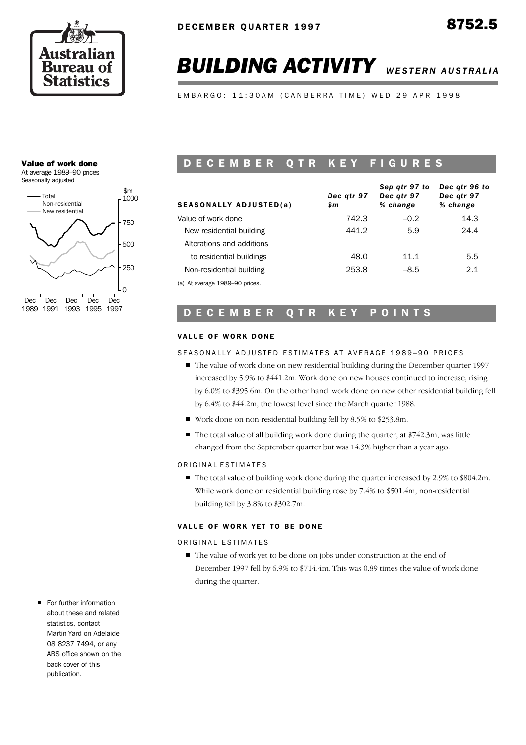

# **BUILDING ACTIVITY** WESTERN AUSTRALIA

E M B A R G O : 11:30 A M ( C A N B E R R A T I M E ) W E D 29 A P R 1998

## Value of work done

At average 1989–90 prices



# D E C E M B E R Q T R K E Y F I G U R E S

| <b>SEASONALLY ADJUSTED(a)</b>  | Dec atr 97<br>\$m | Sep qtr 97 to<br>Dec atr 97<br>% change | Dec atr 96 to<br>Dec gtr 97<br>% change |
|--------------------------------|-------------------|-----------------------------------------|-----------------------------------------|
| Value of work done             | 742.3             | $-0.2$                                  | 14.3                                    |
| New residential building       | 441.2             | 5.9                                     | 24.4                                    |
| Alterations and additions      |                   |                                         |                                         |
| to residential buildings       | 48.0              | 11.1                                    | 5.5                                     |
| Non-residential building       | 253.8             | $-8.5$                                  | 2.1                                     |
| (a) At average 1989-90 prices. |                   |                                         |                                         |

# D E C E M B E R Q T R K E Y P O I N T S

## VALUE OF WORK DONE

## SEASONALLY ADJUSTED ESTIMATES AT AVERAGE 1989-90 PRICES

- The value of work done on new residential building during the December quarter 1997 increased by 5.9% to \$441.2m. Work done on new houses continued to increase, rising by 6.0% to \$395.6m. On the other hand, work done on new other residential building fell by 6.4% to \$44.2m, the lowest level since the March quarter 1988.
- Work done on non-residential building fell by 8.5% to \$253.8m.
- $\blacksquare$  The total value of all building work done during the quarter, at \$742.3m, was little changed from the September quarter but was 14.3% higher than a year ago.

## ORIGINAL ESTIMATES

The total value of building work done during the quarter increased by 2.9% to \$804.2m. While work done on residential building rose by 7.4% to \$501.4m, non-residential building fell by 3.8% to \$302.7m.

## VALUE OF WORK YET TO BE DONE

ORIGINAL ESTIMATES

- The value of work yet to be done on jobs under construction at the end of December 1997 fell by 6.9% to \$714.4m. This was 0.89 times the value of work done during the quarter.
- For further information about these and related statistics, contact Martin Yard on Adelaide 08 8237 7494, or any ABS office shown on the back cover of this publication.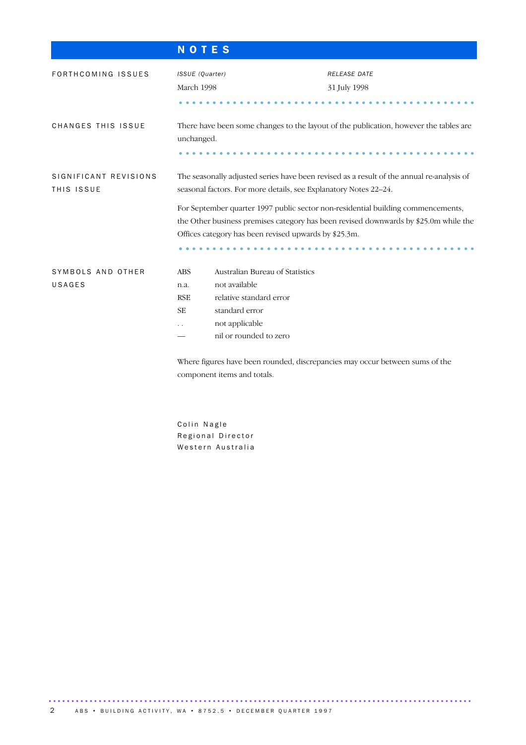| <b>NOTES</b>                                                                                                                                                                               |                                                                                                                                                                                                                                                                       |
|--------------------------------------------------------------------------------------------------------------------------------------------------------------------------------------------|-----------------------------------------------------------------------------------------------------------------------------------------------------------------------------------------------------------------------------------------------------------------------|
| ISSUE (Quarter)<br>March 1998                                                                                                                                                              | RELEASE DATE<br>31 July 1998                                                                                                                                                                                                                                          |
| unchanged.                                                                                                                                                                                 | There have been some changes to the layout of the publication, however the tables are                                                                                                                                                                                 |
| seasonal factors. For more details, see Explanatory Notes 22-24.<br>Offices category has been revised upwards by \$25.3m.                                                                  | The seasonally adjusted series have been revised as a result of the annual re-analysis of<br>For September quarter 1997 public sector non-residential building commencements,<br>the Other business premises category has been revised downwards by \$25.0m while the |
| Australian Bureau of Statistics<br><b>ABS</b><br>not available<br>n.a.<br>relative standard error<br><b>RSE</b><br><b>SE</b><br>standard error<br>not applicable<br>nil or rounded to zero | Where figures have been rounded, discrepancies may occur between sums of the                                                                                                                                                                                          |
|                                                                                                                                                                                            | component items and totals.                                                                                                                                                                                                                                           |

Colin Nagle Regional Director Western Australia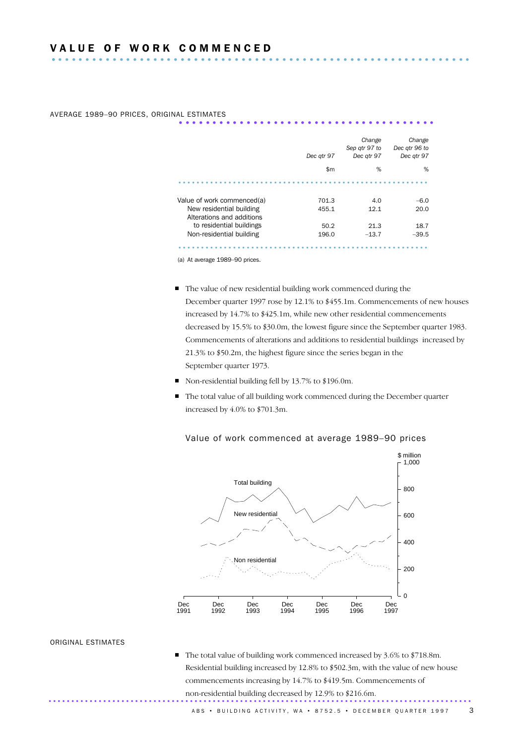|                            | Dec atr 97   | Change<br>Sep qtr 97 to<br>Dec gtr 97 | Change<br>Dec atr 96 to<br>Dec atr 97 |
|----------------------------|--------------|---------------------------------------|---------------------------------------|
|                            | $\mathsf{m}$ | %                                     | %                                     |
|                            |              |                                       |                                       |
| Value of work commenced(a) | 701.3        | 4.0                                   | $-6.0$                                |
|                            |              |                                       |                                       |
| New residential building   | 455.1        | 12.1                                  | 20.0                                  |
| Alterations and additions  |              |                                       |                                       |
| to residential buildings   | 50.2         | 21.3                                  | 18.7                                  |

AVERAGE 1989-90 PRICES, ORIGINAL ESTIMATES

(a) At average 1989–90 prices.

- The value of new residential building work commenced during the December quarter 1997 rose by 12.1% to \$455.1m. Commencements of new houses increased by 14.7% to \$425.1m, while new other residential commencements decreased by 15.5% to \$30.0m, the lowest figure since the September quarter 1983. Commencements of alterations and additions to residential buildings increased by 21.3% to \$50.2m, the highest figure since the series began in the September quarter 1973.
- Non-residential building fell by 13.7% to \$196.0m.
- The total value of all building work commenced during the December quarter increased by 4.0% to \$701.3m.



## Value of work commenced at average 1989–90 prices

#### ORIGINAL ESTIMATES

The total value of building work commenced increased by 3.6% to \$718.8m. Residential building increased by 12.8% to \$502.3m, with the value of new house commencements increasing by 14.7% to \$419.5m. Commencements of non-residential building decreased by 12.9% to \$216.6m. .............................................................................................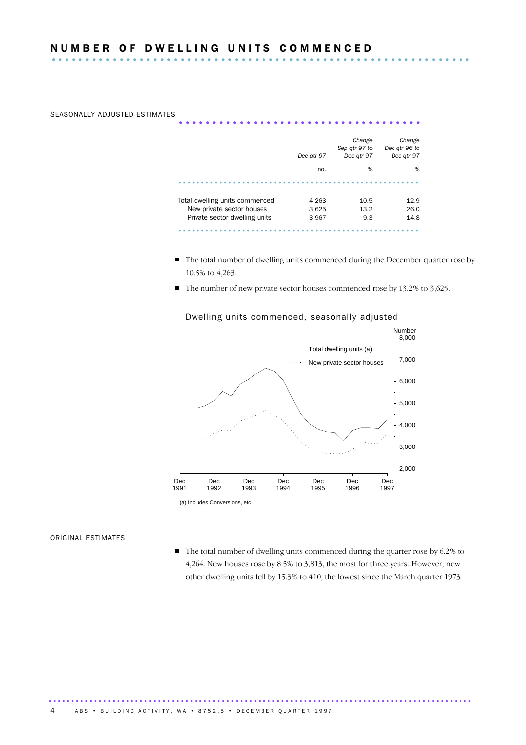# SEASONALLY ADJUSTED ESTIMATES

|                                | Dec atr 97 | Change<br>Sep atr 97 to<br>Dec atr 97 | Change<br>Dec qtr 96 to<br>Dec atr 97 |
|--------------------------------|------------|---------------------------------------|---------------------------------------|
|                                | no.        | %                                     | %                                     |
|                                |            |                                       |                                       |
| Total dwelling units commenced | 4 2 6 3    | 10.5                                  | 12.9                                  |
| New private sector houses      | 3625       | 13.2                                  | 26.0                                  |
| Private sector dwelling units  | 3967       | 9.3                                   | 14.8                                  |
|                                |            |                                       |                                       |

- The total number of dwelling units commenced during the December quarter rose by 10.5% to 4,263.
- $\blacksquare$  The number of new private sector houses commenced rose by 13.2% to 3,625.



## Dwelling units commenced, seasonally adjusted

# ORIGINAL ESTIMATES

The total number of dwelling units commenced during the quarter rose by 6.2% to 4,264. New houses rose by 8.5% to 3,813, the most for three years. However, new other dwelling units fell by 15.3% to 410, the lowest since the March quarter 1973.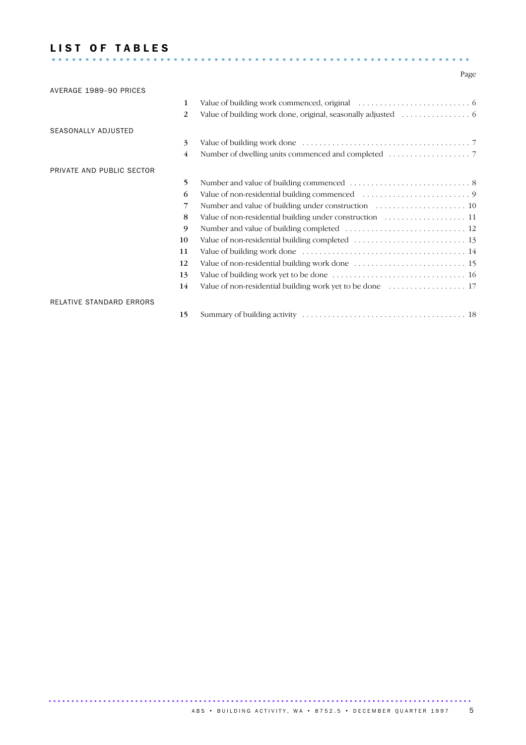## LIST OF TABLES .............................................................. .

## Page

| AVERAGE 1989-90 PRICES    |                |  |
|---------------------------|----------------|--|
|                           | 1              |  |
|                           | 2              |  |
| SEASONALLY ADJUSTED       |                |  |
|                           | 3              |  |
|                           | $\overline{4}$ |  |
| PRIVATE AND PUBLIC SECTOR |                |  |
|                           | 5              |  |
|                           | 6              |  |
|                           | 7              |  |
|                           | 8              |  |
|                           | 9              |  |
|                           | 10             |  |
|                           | 11             |  |
|                           | 12             |  |
|                           | 13             |  |
|                           | 14             |  |
| RELATIVE STANDARD ERRORS  |                |  |
|                           | 15             |  |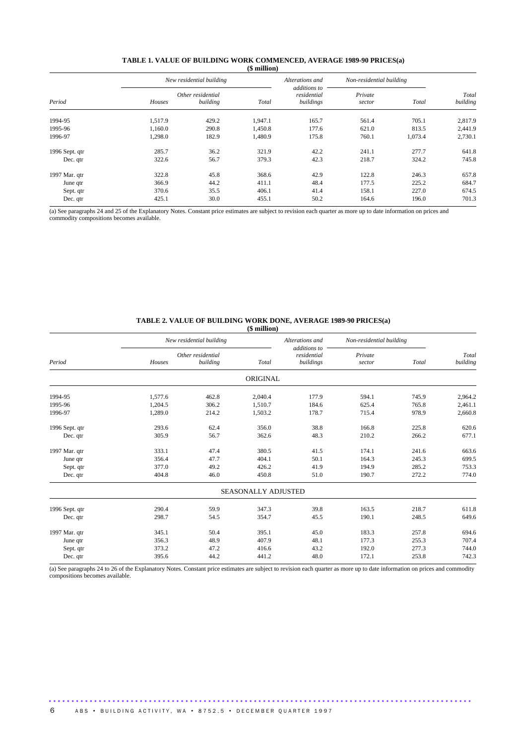#### **TABLE 1. VALUE OF BUILDING WORK COMMENCED, AVERAGE 1989-90 PRICES(a) (\$ million)**

|                |         | New residential building      |         | Alterations and                          | Non-residential building |         |                   |  |
|----------------|---------|-------------------------------|---------|------------------------------------------|--------------------------|---------|-------------------|--|
| Period         | Houses  | Other residential<br>building | Total   | additions to<br>residential<br>buildings | Private<br>sector        | Total   | Total<br>building |  |
| 1994-95        | 1,517.9 | 429.2                         | 1,947.1 | 165.7                                    | 561.4                    | 705.1   | 2,817.9           |  |
| 1995-96        | 1,160.0 | 290.8                         | 1,450.8 | 177.6                                    | 621.0                    | 813.5   | 2,441.9           |  |
| 1996-97        | 1,298.0 | 182.9                         | 1,480.9 | 175.8                                    | 760.1                    | 1,073.4 | 2,730.1           |  |
| 1996 Sept. qtr | 285.7   | 36.2                          | 321.9   | 42.2                                     | 241.1                    | 277.7   | 641.8             |  |
| Dec. qtr       | 322.6   | 56.7                          | 379.3   | 42.3                                     | 218.7                    | 324.2   | 745.8             |  |
| 1997 Mar. qtr  | 322.8   | 45.8                          | 368.6   | 42.9                                     | 122.8                    | 246.3   | 657.8             |  |
| June qtr       | 366.9   | 44.2                          | 411.1   | 48.4                                     | 177.5                    | 225.2   | 684.7             |  |
| Sept. qtr      | 370.6   | 35.5                          | 406.1   | 41.4                                     | 158.1                    | 227.0   | 674.5             |  |
| Dec. qtr       | 425.1   | 30.0                          | 455.1   | 50.2                                     | 164.6                    | 196.0   | 701.3             |  |

(a) See paragraphs 24 and 25 of the Explanatory Notes. Constant price estimates are subject to revision each quarter as more up to date information on prices and commodity compositions becomes available.

#### **TABLE 2. VALUE OF BUILDING WORK DONE, AVERAGE 1989-90 PRICES(a)**

|         |          |                                               | Alterations and          |                                                 |       |                                          |
|---------|----------|-----------------------------------------------|--------------------------|-------------------------------------------------|-------|------------------------------------------|
| Houses  | building | Total                                         | residential<br>buildings | Private<br>Total<br>sector                      |       | Total<br>building                        |
|         |          |                                               |                          |                                                 |       |                                          |
| 1,577.6 | 462.8    | 2,040.4                                       | 177.9                    | 594.1                                           | 745.9 | 2,964.2                                  |
| 1,204.5 | 306.2    | 1,510.7                                       | 184.6                    | 625.4                                           | 765.8 | 2,461.1                                  |
| 1,289.0 | 214.2    | 1,503.2                                       | 178.7                    | 715.4                                           | 978.9 | 2,660.8                                  |
| 293.6   | 62.4     | 356.0                                         | 38.8                     | 166.8                                           | 225.8 | 620.6                                    |
| 305.9   | 56.7     | 362.6                                         | 48.3                     | 210.2                                           | 266.2 | 677.1                                    |
| 333.1   | 47.4     | 380.5                                         | 41.5                     | 174.1                                           | 241.6 | 663.6                                    |
| 356.4   | 47.7     | 404.1                                         | 50.1                     | 164.3                                           | 245.3 | 699.5                                    |
| 377.0   | 49.2     | 426.2                                         | 41.9                     | 194.9                                           | 285.2 | 753.3                                    |
| 404.8   | 46.0     | 450.8                                         | 51.0                     | 190.7                                           | 272.2 | 774.0                                    |
|         |          |                                               |                          |                                                 |       |                                          |
| 290.4   | 59.9     | 347.3                                         | 39.8                     | 163.5                                           | 218.7 | 611.8                                    |
| 298.7   | 54.5     | 354.7                                         | 45.5                     | 190.1                                           | 248.5 | 649.6                                    |
| 345.1   | 50.4     | 395.1                                         | 45.0                     | 183.3                                           | 257.8 | 694.6                                    |
| 356.3   | 48.9     | 407.9                                         | 48.1                     | 177.3                                           | 255.3 | 707.4                                    |
| 373.2   | 47.2     | 416.6                                         | 43.2                     | 192.0                                           | 277.3 | 744.0                                    |
| 395.6   | 44.2     | 441.2                                         | 48.0                     | 172.1                                           | 253.8 | 742.3                                    |
|         |          | New residential building<br>Other residential |                          | additions to<br>ORIGINAL<br>SEASONALLY ADJUSTED |       | (\$ million)<br>Non-residential building |

(a) See paragraphs 24 to 26 of the Explanatory Notes. Constant price estimates are subject to revision each quarter as more up to date information on prices and commodity compositions becomes available.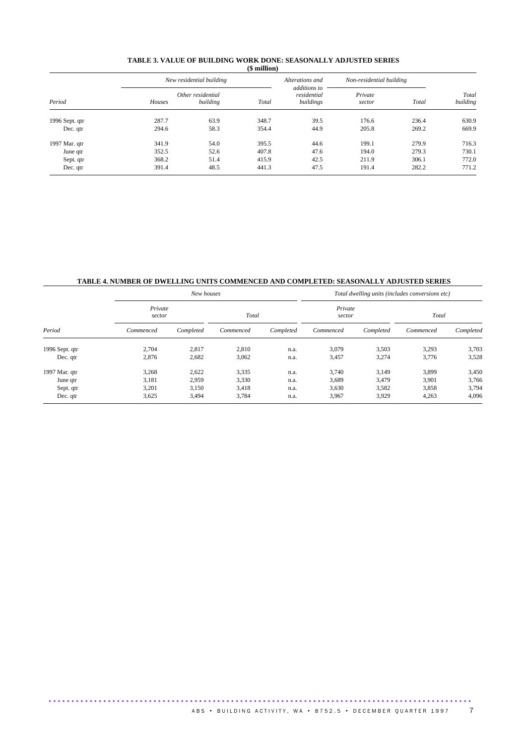#### **TABLE 3. VALUE OF BUILDING WORK DONE: SEASONALLY ADJUSTED SERIES (\$ million)**

|                |        | New residential building      |       | Alterations and                          | Non-residential building |       |                   |
|----------------|--------|-------------------------------|-------|------------------------------------------|--------------------------|-------|-------------------|
| Period         | Houses | Other residential<br>building | Total | additions to<br>residential<br>buildings | Private<br>sector        | Total | Total<br>building |
| 1996 Sept. qtr | 287.7  | 63.9                          | 348.7 | 39.5                                     | 176.6                    | 236.4 | 630.9             |
| Dec. qtr       | 294.6  | 58.3                          | 354.4 | 44.9                                     | 205.8                    | 269.2 | 669.9             |
| 1997 Mar. qtr  | 341.9  | 54.0                          | 395.5 | 44.6                                     | 199.1                    | 279.9 | 716.3             |
| June qtr       | 352.5  | 52.6                          | 407.8 | 47.6                                     | 194.0                    | 279.3 | 730.1             |
| Sept. qtr      | 368.2  | 51.4                          | 415.9 | 42.5                                     | 211.9                    | 306.1 | 772.0             |
| Dec. qtr       | 391.4  | 48.5                          | 441.3 | 47.5                                     | 191.4                    | 282.2 | 771.2             |

# **TABLE 4. NUMBER OF DWELLING UNITS COMMENCED AND COMPLETED: SEASONALLY ADJUSTED SERIES**

| Period         |                   | New houses |           |           | Total dwelling units (includes conversions etc) |           |           |           |  |
|----------------|-------------------|------------|-----------|-----------|-------------------------------------------------|-----------|-----------|-----------|--|
|                | Private<br>sector |            | Total     |           | Private<br>sector                               |           | Total     |           |  |
|                | Commenced         | Completed  | Commenced | Completed | Commenced                                       | Completed | Commenced | Completed |  |
| 1996 Sept. qtr | 2,704             | 2,817      | 2,810     | n.a.      | 3,079                                           | 3,503     | 3,293     | 3,703     |  |
| Dec. qtr       | 2,876             | 2,682      | 3,062     | n.a.      | 3,457                                           | 3,274     | 3,776     | 3,528     |  |
| 1997 Mar. qtr  | 3,268             | 2,622      | 3,335     | n.a.      | 3,740                                           | 3,149     | 3,899     | 3,450     |  |
| June qtr       | 3,181             | 2,959      | 3,330     | n.a.      | 3,689                                           | 3,479     | 3,901     | 3,766     |  |
| Sept. qtr      | 3,201             | 3,150      | 3,418     | n.a.      | 3,630                                           | 3,582     | 3,858     | 3,794     |  |
| Dec. qtr       | 3,625             | 3,494      | 3,784     | n.a.      | 3,967                                           | 3,929     | 4,263     | 4,096     |  |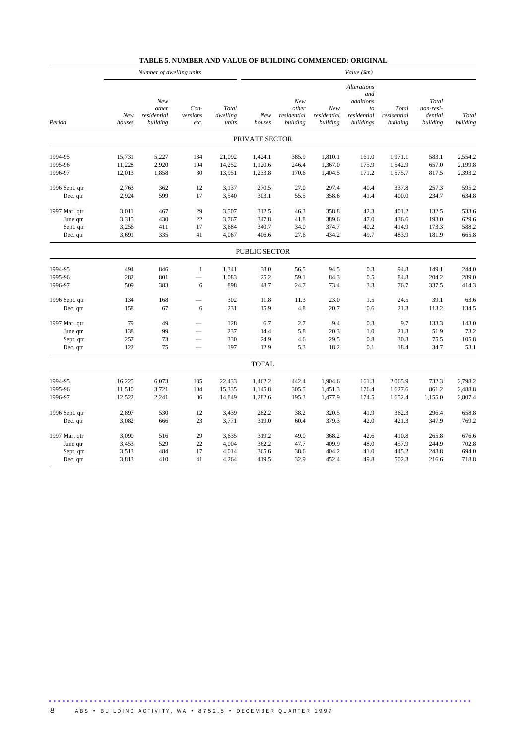|                |               | Number of dwelling units                |                          |                            | Value (\$m)    |                                         |                                |                                                                          |                                  |                                           |                   |
|----------------|---------------|-----------------------------------------|--------------------------|----------------------------|----------------|-----------------------------------------|--------------------------------|--------------------------------------------------------------------------|----------------------------------|-------------------------------------------|-------------------|
| Period         | New<br>houses | New<br>other<br>residential<br>building | Con-<br>versions<br>etc. | Total<br>dwelling<br>units | New<br>houses  | New<br>other<br>residential<br>building | New<br>residential<br>building | <b>Alterations</b><br>and<br>additions<br>to<br>residential<br>buildings | Total<br>residential<br>building | Total<br>non-resi-<br>dential<br>building | Total<br>building |
|                |               |                                         |                          |                            | PRIVATE SECTOR |                                         |                                |                                                                          |                                  |                                           |                   |
| 1994-95        | 15,731        | 5,227                                   | 134                      | 21,092                     | 1,424.1        | 385.9                                   | 1,810.1                        | 161.0                                                                    | 1,971.1                          | 583.1                                     | 2,554.2           |
| 1995-96        | 11,228        | 2,920                                   | 104                      | 14,252                     | 1,120.6        | 246.4                                   | 1,367.0                        | 175.9                                                                    | 1,542.9                          | 657.0                                     | 2,199.8           |
| 1996-97        | 12,013        | 1,858                                   | 80                       | 13,951                     | 1,233.8        | 170.6                                   | 1,404.5                        | 171.2                                                                    | 1,575.7                          | 817.5                                     | 2,393.2           |
| 1996 Sept. qtr | 2,763         | 362                                     | 12                       | 3,137                      | 270.5          | 27.0                                    | 297.4                          | 40.4                                                                     | 337.8                            | 257.3                                     | 595.2             |
| Dec. qtr       | 2,924         | 599                                     | 17                       | 3,540                      | 303.1          | 55.5                                    | 358.6                          | 41.4                                                                     | 400.0                            | 234.7                                     | 634.8             |
| 1997 Mar. qtr  | 3,011         | 467                                     | 29                       | 3,507                      | 312.5          | 46.3                                    | 358.8                          | 42.3                                                                     | 401.2                            | 132.5                                     | 533.6             |
| June qtr       | 3,315         | 430                                     | $22\,$                   | 3,767                      | 347.8          | 41.8                                    | 389.6                          | 47.0                                                                     | 436.6                            | 193.0                                     | 629.6             |
| Sept. qtr      | 3,256         | 411                                     | 17                       | 3,684                      | 340.7          | 34.0                                    | 374.7                          | 40.2                                                                     | 414.9                            | 173.3                                     | 588.2             |
| Dec. qtr       | 3,691         | 335                                     | 41                       | 4,067                      | 406.6          | 27.6                                    | 434.2                          | 49.7                                                                     | 483.9                            | 181.9                                     | 665.8             |
|                |               |                                         |                          |                            | PUBLIC SECTOR  |                                         |                                |                                                                          |                                  |                                           |                   |
| 1994-95        | 494           | 846                                     | 1                        | 1,341                      | 38.0           | 56.5                                    | 94.5                           | 0.3                                                                      | 94.8                             | 149.1                                     | 244.0             |
| 1995-96        | 282           | 801                                     |                          | 1,083                      | 25.2           | 59.1                                    | 84.3                           | 0.5                                                                      | 84.8                             | 204.2                                     | 289.0             |
| 1996-97        | 509           | 383                                     | 6                        | 898                        | 48.7           | 24.7                                    | 73.4                           | 3.3                                                                      | 76.7                             | 337.5                                     | 414.3             |
| 1996 Sept. qtr | 134           | 168                                     |                          | 302                        | 11.8           | 11.3                                    | 23.0                           | 1.5                                                                      | 24.5                             | 39.1                                      | 63.6              |
| Dec. qtr       | 158           | 67                                      | 6                        | 231                        | 15.9           | 4.8                                     | 20.7                           | 0.6                                                                      | 21.3                             | 113.2                                     | 134.5             |
| 1997 Mar. qtr  | 79            | 49                                      |                          | 128                        | 6.7            | 2.7                                     | 9.4                            | 0.3                                                                      | 9.7                              | 133.3                                     | 143.0             |
| June qtr       | 138           | 99                                      |                          | 237                        | 14.4           | 5.8                                     | 20.3                           | 1.0                                                                      | 21.3                             | 51.9                                      | 73.2              |
| Sept. qtr      | 257           | 73                                      |                          | 330                        | 24.9           | 4.6                                     | 29.5                           | 0.8                                                                      | 30.3                             | 75.5                                      | 105.8             |
| Dec. qtr       | 122           | 75                                      | $\overline{\phantom{0}}$ | 197                        | 12.9           | 5.3                                     | 18.2                           | 0.1                                                                      | 18.4                             | 34.7                                      | 53.1              |
|                |               |                                         |                          |                            | <b>TOTAL</b>   |                                         |                                |                                                                          |                                  |                                           |                   |
| 1994-95        | 16,225        | 6,073                                   | 135                      | 22,433                     | 1,462.2        | 442.4                                   | 1,904.6                        | 161.3                                                                    | 2,065.9                          | 732.3                                     | 2,798.2           |
| 1995-96        | 11,510        | 3,721                                   | 104                      | 15,335                     | 1,145.8        | 305.5                                   | 1,451.3                        | 176.4                                                                    | 1,627.6                          | 861.2                                     | 2,488.8           |
| 1996-97        | 12,522        | 2,241                                   | 86                       | 14,849                     | 1,282.6        | 195.3                                   | 1,477.9                        | 174.5                                                                    | 1,652.4                          | 1,155.0                                   | 2,807.4           |
| 1996 Sept. qtr | 2,897         | 530                                     | 12                       | 3,439                      | 282.2          | 38.2                                    | 320.5                          | 41.9                                                                     | 362.3                            | 296.4                                     | 658.8             |
| Dec. qtr       | 3,082         | 666                                     | 23                       | 3,771                      | 319.0          | 60.4                                    | 379.3                          | 42.0                                                                     | 421.3                            | 347.9                                     | 769.2             |
| 1997 Mar. qtr  | 3,090         | 516                                     | 29                       | 3,635                      | 319.2          | 49.0                                    | 368.2                          | 42.6                                                                     | 410.8                            | 265.8                                     | 676.6             |
| June qtr       | 3,453         | 529                                     | $22\,$                   | 4,004                      | 362.2          | 47.7                                    | 409.9                          | 48.0                                                                     | 457.9                            | 244.9                                     | 702.8             |
| Sept. qtr      | 3,513         | 484                                     | 17                       | 4,014                      | 365.6          | 38.6                                    | 404.2                          | 41.0                                                                     | 445.2                            | 248.8                                     | 694.0             |
| Dec. qtr       | 3,813         | 410                                     | 41                       | 4,264                      | 419.5          | 32.9                                    | 452.4                          | 49.8                                                                     | 502.3                            | 216.6                                     | 718.8             |

## **TABLE 5. NUMBER AND VALUE OF BUILDING COMMENCED: ORIGINAL**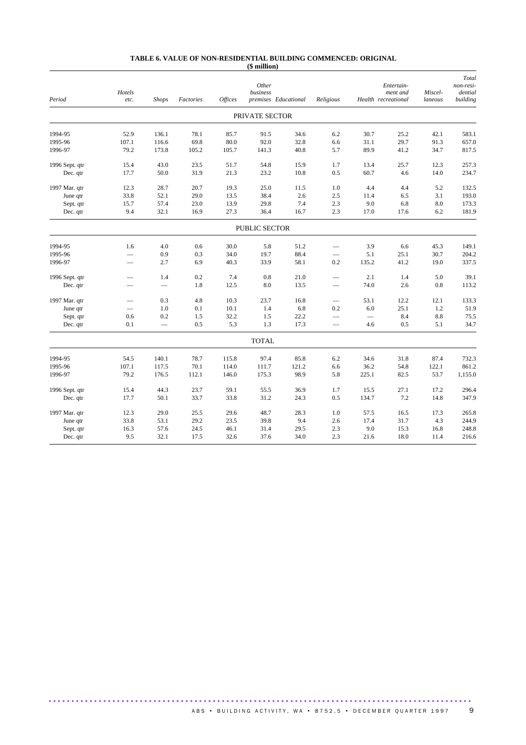#### **TABLE 6. VALUE OF NON-RESIDENTIAL BUILDING COMMENCED: ORIGINAL (\$ million)**

| Period         | Hotels<br>etc.           | <b>Shops</b> | Factories | <b>Offices</b> | Other<br>business | premises Educational | Religious                |       | Entertain-<br>ment and<br>Health recreational | Miscel-<br>laneous | Total<br>non-resi-<br>dential<br>building |
|----------------|--------------------------|--------------|-----------|----------------|-------------------|----------------------|--------------------------|-------|-----------------------------------------------|--------------------|-------------------------------------------|
|                |                          |              |           |                | PRIVATE SECTOR    |                      |                          |       |                                               |                    |                                           |
| 1994-95        | 52.9                     | 136.1        | 78.1      | 85.7           | 91.5              | 34.6                 | 6.2                      | 30.7  | 25.2                                          | 42.1               | 583.1                                     |
| 1995-96        | 107.1                    | 116.6        | 69.8      | 80.0           | 92.0              | 32.8                 | 6.6                      | 31.1  | 29.7                                          | 91.3               | 657.0                                     |
| 1996-97        | 79.2                     | 173.8        | 105.2     | 105.7          | 141.3             | 40.8                 | 5.7                      | 89.9  | 41.2                                          | 34.7               | 817.5                                     |
| 1996 Sept. qtr | 15.4                     | 43.0         | 23.5      | 51.7           | 54.8              | 15.9                 | 1.7                      | 13.4  | 25.7                                          | 12.3               | 257.3                                     |
| Dec. qtr       | 17.7                     | 50.0         | 31.9      | 21.3           | 23.2              | 10.8                 | 0.5                      | 60.7  | 4.6                                           | 14.0               | 234.7                                     |
| 1997 Mar. qtr  | 12.3                     | 28.7         | 20.7      | 19.3           | 25.0              | 11.5                 | 1.0                      | 4.4   | 4.4                                           | 5.2                | 132.5                                     |
| June qtr       | 33.8                     | 52.1         | 29.0      | 13.5           | 38.4              | 2.6                  | 2.5                      | 11.4  | 6.5                                           | 3.1                | 193.0                                     |
| Sept. qtr      | 15.7                     | 57.4         | 23.0      | 13.9           | 29.8              | 7.4                  | 2.3                      | 9.0   | 6.8                                           | 8.0                | 173.3                                     |
| Dec. qtr       | 9.4                      | 32.1         | 16.9      | 27.3           | 36.4              | 16.7                 | 2.3                      | 17.0  | 17.6                                          | 6.2                | 181.9                                     |
|                |                          |              |           |                | PUBLIC SECTOR     |                      |                          |       |                                               |                    |                                           |
| 1994-95        | 1.6                      | 4.0          | 0.6       | 30.0           | 5.8               | 51.2                 |                          | 3.9   | 6.6                                           | 45.3               | 149.1                                     |
| 1995-96        | $\overline{\phantom{0}}$ | 0.9          | 0.3       | 34.0           | 19.7              | 88.4                 |                          | 5.1   | 25.1                                          | 30.7               | 204.2                                     |
| 1996-97        | $\overline{\phantom{0}}$ | 2.7          | 6.9       | 40.3           | 33.9              | 58.1                 | 0.2                      | 135.2 | 41.2                                          | 19.0               | 337.5                                     |
| 1996 Sept. qtr |                          | 1.4          | 0.2       | 7.4            | 0.8               | 21.0                 | $\overline{\phantom{0}}$ | 2.1   | 1.4                                           | 5.0                | 39.1                                      |
| Dec. qtr       |                          |              | 1.8       | 12.5           | 8.0               | 13.5                 |                          | 74.0  | 2.6                                           | 0.8                | 113.2                                     |
| 1997 Mar. qtr  | $\overline{\phantom{0}}$ | 0.3          | 4.8       | 10.3           | 23.7              | 16.8                 | $\qquad \qquad -$        | 53.1  | 12.2                                          | 12.1               | 133.3                                     |
| June qtr       |                          | 1.0          | 0.1       | 10.1           | 1.4               | 6.8                  | 0.2                      | 6.0   | 25.1                                          | 1.2                | 51.9                                      |
| Sept. qtr      | 0.6                      | 0.2          | 1.5       | 32.2           | 1.5               | 22.2                 | $\overline{\phantom{0}}$ |       | 8.4                                           | 8.8                | 75.5                                      |
| Dec. qtr       | 0.1                      |              | 0.5       | 5.3            | 1.3               | 17.3                 | $\overline{\phantom{0}}$ | 4.6   | 0.5                                           | 5.1                | 34.7                                      |
|                |                          |              |           |                | <b>TOTAL</b>      |                      |                          |       |                                               |                    |                                           |
| 1994-95        | 54.5                     | 140.1        | 78.7      | 115.8          | 97.4              | 85.8                 | 6.2                      | 34.6  | 31.8                                          | 87.4               | 732.3                                     |
| 1995-96        | 107.1                    | 117.5        | 70.1      | 114.0          | 111.7             | 121.2                | 6.6                      | 36.2  | 54.8                                          | 122.1              | 861.2                                     |
| 1996-97        | 79.2                     | 176.5        | 112.1     | 146.0          | 175.3             | 98.9                 | 5.8                      | 225.1 | 82.5                                          | 53.7               | 1,155.0                                   |
| 1996 Sept. qtr | 15.4                     | 44.3         | 23.7      | 59.1           | 55.5              | 36.9                 | 1.7                      | 15.5  | 27.1                                          | 17.2               | 296.4                                     |
| Dec. qtr       | 17.7                     | 50.1         | 33.7      | 33.8           | 31.2              | 24.3                 | 0.5                      | 134.7 | 7.2                                           | 14.8               | 347.9                                     |
| 1997 Mar. qtr  | 12.3                     | 29.0         | 25.5      | 29.6           | 48.7              | 28.3                 | 1.0                      | 57.5  | 16.5                                          | 17.3               | 265.8                                     |
| June qtr       | 33.8                     | 53.1         | 29.2      | 23.5           | 39.8              | 9.4                  | 2.6                      | 17.4  | 31.7                                          | 4.3                | 244.9                                     |
| Sept. qtr      | 16.3                     | 57.6         | 24.5      | 46.1           | 31.4              | 29.5                 | 2.3                      | 9.0   | 15.3                                          | 16.8               | 248.8                                     |
| Dec. qtr       | 9.5                      | 32.1         | 17.5      | 32.6           | 37.6              | 34.0                 | 2.3                      | 21.6  | 18.0                                          | 11.4               | 216.6                                     |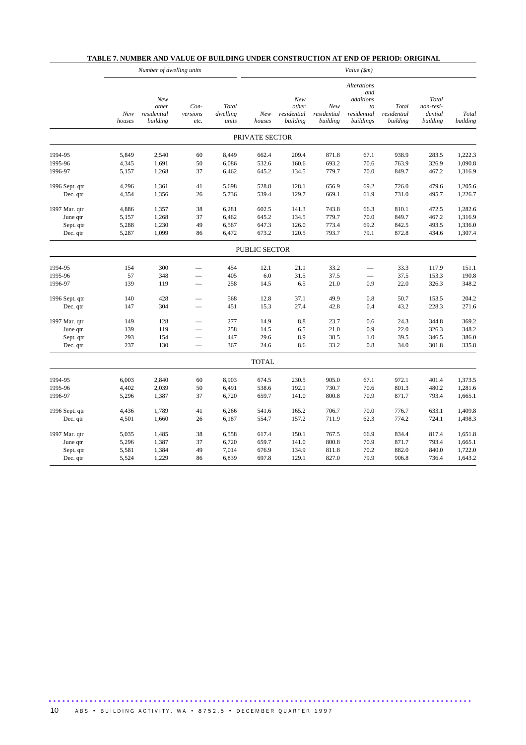|                |               | Number of dwelling units                |                          |                            | Value (\$m)    |                                         |                                |                                                                   |                                  |                                           |                   |
|----------------|---------------|-----------------------------------------|--------------------------|----------------------------|----------------|-----------------------------------------|--------------------------------|-------------------------------------------------------------------|----------------------------------|-------------------------------------------|-------------------|
|                | New<br>houses | New<br>other<br>residential<br>building | Con-<br>versions<br>etc. | Total<br>dwelling<br>units | New<br>houses  | New<br>other<br>residential<br>building | New<br>residential<br>building | Alterations<br>and<br>additions<br>to<br>residential<br>buildings | Total<br>residential<br>building | Total<br>non-resi-<br>dential<br>building | Total<br>building |
|                |               |                                         |                          |                            | PRIVATE SECTOR |                                         |                                |                                                                   |                                  |                                           |                   |
| 1994-95        | 5,849         | 2,540                                   | 60                       | 8,449                      | 662.4          | 209.4                                   | 871.8                          | 67.1                                                              | 938.9                            | 283.5                                     | 1,222.3           |
| 1995-96        | 4,345         | 1,691                                   | 50                       | 6,086                      | 532.6          | 160.6                                   | 693.2                          | 70.6                                                              | 763.9                            | 326.9                                     | 1,090.8           |
| 1996-97        | 5,157         | 1,268                                   | 37                       | 6,462                      | 645.2          | 134.5                                   | 779.7                          | 70.0                                                              | 849.7                            | 467.2                                     | 1,316.9           |
| 1996 Sept. qtr | 4,296         | 1,361                                   | 41                       | 5,698                      | 528.8          | 128.1                                   | 656.9                          | 69.2                                                              | 726.0                            | 479.6                                     | 1,205.6           |
| Dec. qtr       | 4,354         | 1,356                                   | 26                       | 5,736                      | 539.4          | 129.7                                   | 669.1                          | 61.9                                                              | 731.0                            | 495.7                                     | 1,226.7           |
| 1997 Mar. qtr  | 4,886         | 1,357                                   | 38                       | 6,281                      | 602.5          | 141.3                                   | 743.8                          | 66.3                                                              | 810.1                            | 472.5                                     | 1,282.6           |
| June qtr       | 5,157         | 1,268                                   | 37                       | 6,462                      | 645.2          | 134.5                                   | 779.7                          | 70.0                                                              | 849.7                            | 467.2                                     | 1,316.9           |
| Sept. qtr      | 5,288         | 1,230                                   | 49                       | 6,567                      | 647.3          | 126.0                                   | 773.4                          | 69.2                                                              | 842.5                            | 493.5                                     | 1,336.0           |
| Dec. qtr       | 5,287         | 1,099                                   | 86                       | 6,472                      | 673.2          | 120.5                                   | 793.7                          | 79.1                                                              | 872.8                            | 434.6                                     | 1,307.4           |
|                |               |                                         |                          |                            | PUBLIC SECTOR  |                                         |                                |                                                                   |                                  |                                           |                   |
| 1994-95        | 154           | 300                                     |                          | 454                        | 12.1           | 21.1                                    | 33.2                           | $\overline{\phantom{0}}$                                          | 33.3                             | 117.9                                     | 151.1             |
| 1995-96        | 57            | 348                                     |                          | 405                        | 6.0            | 31.5                                    | 37.5                           |                                                                   | 37.5                             | 153.3                                     | 190.8             |
| 1996-97        | 139           | 119                                     |                          | 258                        | 14.5           | 6.5                                     | 21.0                           | 0.9                                                               | 22.0                             | 326.3                                     | 348.2             |
| 1996 Sept. qtr | 140           | 428                                     |                          | 568                        | 12.8           | 37.1                                    | 49.9                           | 0.8                                                               | 50.7                             | 153.5                                     | 204.2             |
| Dec. qtr       | 147           | 304                                     |                          | 451                        | 15.3           | 27.4                                    | 42.8                           | 0.4                                                               | 43.2                             | 228.3                                     | 271.6             |
| 1997 Mar. qtr  | 149           | 128                                     |                          | 277                        | 14.9           | 8.8                                     | 23.7                           | 0.6                                                               | 24.3                             | 344.8                                     | 369.2             |
| June qtr       | 139           | 119                                     | $\overline{\phantom{0}}$ | 258                        | 14.5           | 6.5                                     | 21.0                           | 0.9                                                               | 22.0                             | 326.3                                     | 348.2             |
| Sept. qtr      | 293           | 154                                     |                          | 447                        | 29.6           | 8.9                                     | 38.5                           | 1.0                                                               | 39.5                             | 346.5                                     | 386.0             |
| Dec. qtr       | 237           | 130                                     |                          | 367                        | 24.6           | 8.6                                     | 33.2                           | 0.8                                                               | 34.0                             | 301.8                                     | 335.8             |
|                |               |                                         |                          |                            | <b>TOTAL</b>   |                                         |                                |                                                                   |                                  |                                           |                   |
| 1994-95        | 6,003         | 2,840                                   | 60                       | 8,903                      | 674.5          | 230.5                                   | 905.0                          | 67.1                                                              | 972.1                            | 401.4                                     | 1,373.5           |
| 1995-96        | 4,402         | 2,039                                   | 50                       | 6,491                      | 538.6          | 192.1                                   | 730.7                          | 70.6                                                              | 801.3                            | 480.2                                     | 1,281.6           |
| 1996-97        | 5,296         | 1,387                                   | 37                       | 6,720                      | 659.7          | 141.0                                   | 800.8                          | 70.9                                                              | 871.7                            | 793.4                                     | 1,665.1           |
| 1996 Sept. qtr | 4,436         | 1,789                                   | 41                       | 6,266                      | 541.6          | 165.2                                   | 706.7                          | 70.0                                                              | 776.7                            | 633.1                                     | 1,409.8           |
| Dec. qtr       | 4,501         | 1,660                                   | 26                       | 6,187                      | 554.7          | 157.2                                   | 711.9                          | 62.3                                                              | 774.2                            | 724.1                                     | 1,498.3           |
| 1997 Mar. qtr  | 5,035         | 1,485                                   | 38                       | 6,558                      | 617.4          | 150.1                                   | 767.5                          | 66.9                                                              | 834.4                            | 817.4                                     | 1,651.8           |
| June qtr       | 5,296         | 1,387                                   | 37                       | 6,720                      | 659.7          | 141.0                                   | 800.8                          | 70.9                                                              | 871.7                            | 793.4                                     | 1,665.1           |
| Sept. qtr      | 5,581         | 1,384                                   | 49                       | 7,014                      | 676.9          | 134.9                                   | 811.8                          | 70.2                                                              | 882.0                            | 840.0                                     | 1,722.0           |
| Dec. qtr       | 5,524         | 1,229                                   | 86                       | 6,839                      | 697.8          | 129.1                                   | 827.0                          | 79.9                                                              | 906.8                            | 736.4                                     | 1,643.2           |

## **TABLE 7. NUMBER AND VALUE OF BUILDING UNDER CONSTRUCTION AT END OF PERIOD: ORIGINAL**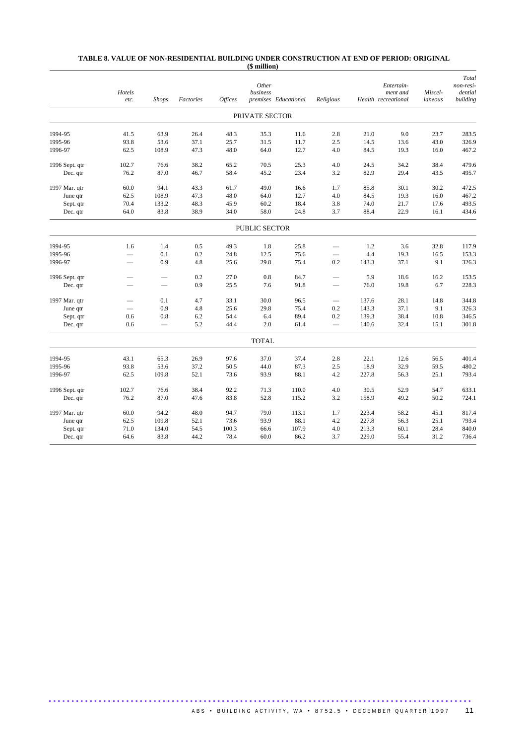#### **TABLE 8. VALUE OF NON-RESIDENTIAL BUILDING UNDER CONSTRUCTION AT END OF PERIOD: ORIGINAL (\$ million)**

|                | Hotels<br>etc.           | <b>Shops</b>             | Factories | <b>Offices</b> | Other<br>business | premises Educational | Religious                |       | Entertain-<br>ment and<br>Health recreational | Miscel-<br>laneous | Total<br>non-resi-<br>dential<br>building |
|----------------|--------------------------|--------------------------|-----------|----------------|-------------------|----------------------|--------------------------|-------|-----------------------------------------------|--------------------|-------------------------------------------|
|                |                          |                          |           |                | PRIVATE SECTOR    |                      |                          |       |                                               |                    |                                           |
| 1994-95        | 41.5                     | 63.9                     | 26.4      | 48.3           | 35.3              | 11.6                 | 2.8                      | 21.0  | 9.0                                           | 23.7               | 283.5                                     |
| 1995-96        | 93.8                     | 53.6                     | 37.1      | 25.7           | 31.5              | 11.7                 | 2.5                      | 14.5  | 13.6                                          | 43.0               | 326.9                                     |
| 1996-97        | 62.5                     | 108.9                    | 47.3      | 48.0           | 64.0              | 12.7                 | 4.0                      | 84.5  | 19.3                                          | 16.0               | 467.2                                     |
| 1996 Sept. qtr | 102.7                    | 76.6                     | 38.2      | 65.2           | 70.5              | 25.3                 | 4.0                      | 24.5  | 34.2                                          | 38.4               | 479.6                                     |
| Dec. qtr       | 76.2                     | 87.0                     | 46.7      | 58.4           | 45.2              | 23.4                 | 3.2                      | 82.9  | 29.4                                          | 43.5               | 495.7                                     |
| 1997 Mar. qtr  | 60.0                     | 94.1                     | 43.3      | 61.7           | 49.0              | 16.6                 | 1.7                      | 85.8  | 30.1                                          | 30.2               | 472.5                                     |
| June qtr       | 62.5                     | 108.9                    | 47.3      | 48.0           | 64.0              | 12.7                 | 4.0                      | 84.5  | 19.3                                          | 16.0               | 467.2                                     |
| Sept. qtr      | 70.4                     | 133.2                    | 48.3      | 45.9           | 60.2              | 18.4                 | 3.8                      | 74.0  | 21.7                                          | 17.6               | 493.5                                     |
| Dec. qtr       | 64.0                     | 83.8                     | 38.9      | 34.0           | 58.0              | 24.8                 | 3.7                      | 88.4  | 22.9                                          | 16.1               | 434.6                                     |
|                |                          |                          |           |                | PUBLIC SECTOR     |                      |                          |       |                                               |                    |                                           |
| 1994-95        | 1.6                      | 1.4                      | 0.5       | 49.3           | 1.8               | 25.8                 |                          | 1.2   | 3.6                                           | 32.8               | 117.9                                     |
| 1995-96        | $\qquad \qquad$          | 0.1                      | 0.2       | 24.8           | 12.5              | 75.6                 |                          | 4.4   | 19.3                                          | 16.5               | 153.3                                     |
| 1996-97        |                          | 0.9                      | 4.8       | 25.6           | 29.8              | 75.4                 | 0.2                      | 143.3 | 37.1                                          | 9.1                | 326.3                                     |
| 1996 Sept. qtr | $\overline{\phantom{a}}$ | $\overline{\phantom{0}}$ | 0.2       | 27.0           | 0.8               | 84.7                 | $\overline{\phantom{a}}$ | 5.9   | 18.6                                          | 16.2               | 153.5                                     |
| Dec. qtr       |                          | $\qquad \qquad$          | 0.9       | 25.5           | 7.6               | 91.8                 |                          | 76.0  | 19.8                                          | 6.7                | 228.3                                     |
| 1997 Mar. qtr  | $\overline{\phantom{0}}$ | 0.1                      | 4.7       | 33.1           | 30.0              | 96.5                 |                          | 137.6 | 28.1                                          | 14.8               | 344.8                                     |
| June qtr       |                          | 0.9                      | 4.8       | 25.6           | 29.8              | 75.4                 | 0.2                      | 143.3 | 37.1                                          | 9.1                | 326.3                                     |
| Sept. qtr      | 0.6                      | 0.8                      | 6.2       | 54.4           | 6.4               | 89.4                 | 0.2                      | 139.3 | 38.4                                          | 10.8               | 346.5                                     |
| Dec. qtr       | 0.6                      |                          | 5.2       | 44.4           | 2.0               | 61.4                 |                          | 140.6 | 32.4                                          | 15.1               | 301.8                                     |
|                |                          |                          |           |                | <b>TOTAL</b>      |                      |                          |       |                                               |                    |                                           |
| 1994-95        | 43.1                     | 65.3                     | 26.9      | 97.6           | 37.0              | 37.4                 | 2.8                      | 22.1  | 12.6                                          | 56.5               | 401.4                                     |
| 1995-96        | 93.8                     | 53.6                     | 37.2      | 50.5           | 44.0              | 87.3                 | 2.5                      | 18.9  | 32.9                                          | 59.5               | 480.2                                     |
| 1996-97        | 62.5                     | 109.8                    | 52.1      | 73.6           | 93.9              | 88.1                 | 4.2                      | 227.8 | 56.3                                          | 25.1               | 793.4                                     |
| 1996 Sept. qtr | 102.7                    | 76.6                     | 38.4      | 92.2           | 71.3              | 110.0                | 4.0                      | 30.5  | 52.9                                          | 54.7               | 633.1                                     |
| Dec. qtr       | 76.2                     | 87.0                     | 47.6      | 83.8           | 52.8              | 115.2                | 3.2                      | 158.9 | 49.2                                          | 50.2               | 724.1                                     |
| 1997 Mar. qtr  | 60.0                     | 94.2                     | 48.0      | 94.7           | 79.0              | 113.1                | 1.7                      | 223.4 | 58.2                                          | 45.1               | 817.4                                     |
| June qtr       | 62.5                     | 109.8                    | 52.1      | 73.6           | 93.9              | 88.1                 | 4.2                      | 227.8 | 56.3                                          | 25.1               | 793.4                                     |
| Sept. qtr      | 71.0                     | 134.0                    | 54.5      | 100.3          | 66.6              | 107.9                | 4.0                      | 213.3 | 60.1                                          | 28.4               | 840.0                                     |
| Dec. qtr       | 64.6                     | 83.8                     | 44.2      | 78.4           | 60.0              | 86.2                 | 3.7                      | 229.0 | 55.4                                          | 31.2               | 736.4                                     |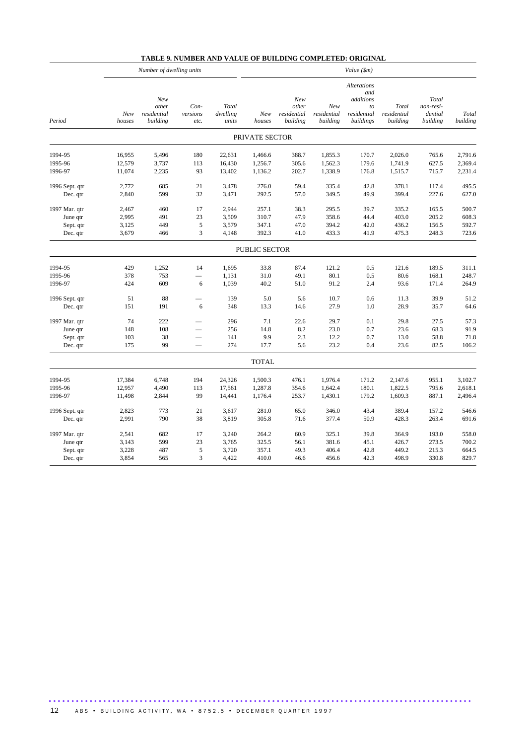|                | Number of dwelling units |                                         |                          |                            |                      | Value (\$m)                             |                                |                                                                          |                                  |                                           |                   |  |
|----------------|--------------------------|-----------------------------------------|--------------------------|----------------------------|----------------------|-----------------------------------------|--------------------------------|--------------------------------------------------------------------------|----------------------------------|-------------------------------------------|-------------------|--|
| Period         | New<br>houses            | New<br>other<br>residential<br>building | Con-<br>versions<br>etc. | Total<br>dwelling<br>units | New<br>houses        | New<br>other<br>residential<br>building | New<br>residential<br>building | <b>Alterations</b><br>and<br>additions<br>to<br>residential<br>buildings | Total<br>residential<br>building | Total<br>non-resi-<br>dential<br>building | Total<br>building |  |
|                |                          |                                         |                          |                            | PRIVATE SECTOR       |                                         |                                |                                                                          |                                  |                                           |                   |  |
| 1994-95        | 16,955                   | 5,496                                   | 180                      | 22,631                     | 1,466.6              | 388.7                                   | 1,855.3                        | 170.7                                                                    | 2,026.0                          | 765.6                                     | 2,791.6           |  |
| 1995-96        | 12,579                   | 3,737                                   | 113                      | 16,430                     | 1,256.7              | 305.6                                   | 1,562.3                        | 179.6                                                                    | 1,741.9                          | 627.5                                     | 2,369.4           |  |
| 1996-97        | 11,074                   | 2,235                                   | 93                       | 13,402                     | 1,136.2              | 202.7                                   | 1,338.9                        | 176.8                                                                    | 1,515.7                          | 715.7                                     | 2,231.4           |  |
| 1996 Sept. qtr | 2,772                    | 685                                     | 21                       | 3,478                      | 276.0                | 59.4                                    | 335.4                          | 42.8                                                                     | 378.1                            | 117.4                                     | 495.5             |  |
| Dec. qtr       | 2,840                    | 599                                     | 32                       | 3,471                      | 292.5                | 57.0                                    | 349.5                          | 49.9                                                                     | 399.4                            | 227.6                                     | 627.0             |  |
| 1997 Mar. qtr  | 2,467                    | 460                                     | 17                       | 2,944                      | 257.1                | 38.3                                    | 295.5                          | 39.7                                                                     | 335.2                            | 165.5                                     | 500.7             |  |
| June qtr       | 2,995                    | 491                                     | 23                       | 3,509                      | 310.7                | 47.9                                    | 358.6                          | 44.4                                                                     | 403.0                            | 205.2                                     | 608.3             |  |
| Sept. qtr      | 3,125                    | 449                                     | $\sqrt{5}$               | 3,579                      | 347.1                | 47.0                                    | 394.2                          | 42.0                                                                     | 436.2                            | 156.5                                     | 592.7             |  |
| Dec. qtr       | 3,679                    | 466                                     | $\mathfrak 3$            | 4,148                      | 392.3                | 41.0                                    | 433.3                          | 41.9                                                                     | 475.3                            | 248.3                                     | 723.6             |  |
|                |                          |                                         |                          |                            | <b>PUBLIC SECTOR</b> |                                         |                                |                                                                          |                                  |                                           |                   |  |
| 1994-95        | 429                      | 1,252                                   | 14                       | 1,695                      | 33.8                 | 87.4                                    | 121.2                          | 0.5                                                                      | 121.6                            | 189.5                                     | 311.1             |  |
| 1995-96        | 378                      | 753                                     |                          | 1,131                      | 31.0                 | 49.1                                    | 80.1                           | 0.5                                                                      | 80.6                             | 168.1                                     | 248.7             |  |
| 1996-97        | 424                      | 609                                     | 6                        | 1,039                      | 40.2                 | 51.0                                    | 91.2                           | 2.4                                                                      | 93.6                             | 171.4                                     | 264.9             |  |
| 1996 Sept. qtr | 51                       | 88                                      |                          | 139                        | 5.0                  | 5.6                                     | 10.7                           | 0.6                                                                      | 11.3                             | 39.9                                      | 51.2              |  |
| Dec. qtr       | 151                      | 191                                     | 6                        | 348                        | 13.3                 | 14.6                                    | 27.9                           | 1.0                                                                      | 28.9                             | 35.7                                      | 64.6              |  |
| 1997 Mar. qtr  | 74                       | 222                                     |                          | 296                        | 7.1                  | 22.6                                    | 29.7                           | 0.1                                                                      | 29.8                             | 27.5                                      | 57.3              |  |
| June qtr       | 148                      | 108                                     |                          | 256                        | 14.8                 | 8.2                                     | 23.0                           | 0.7                                                                      | 23.6                             | 68.3                                      | 91.9              |  |
| Sept. qtr      | 103                      | 38                                      |                          | 141                        | 9.9                  | 2.3                                     | 12.2                           | 0.7                                                                      | 13.0                             | 58.8                                      | 71.8              |  |
| Dec. qtr       | 175                      | 99                                      |                          | 274                        | 17.7                 | 5.6                                     | 23.2                           | 0.4                                                                      | 23.6                             | 82.5                                      | 106.2             |  |
|                |                          |                                         |                          |                            | <b>TOTAL</b>         |                                         |                                |                                                                          |                                  |                                           |                   |  |
| 1994-95        | 17,384                   | 6,748                                   | 194                      | 24,326                     | 1,500.3              | 476.1                                   | 1,976.4                        | 171.2                                                                    | 2,147.6                          | 955.1                                     | 3,102.7           |  |
| 1995-96        | 12,957                   | 4,490                                   | 113                      | 17,561                     | 1,287.8              | 354.6                                   | 1,642.4                        | 180.1                                                                    | 1,822.5                          | 795.6                                     | 2,618.1           |  |
| 1996-97        | 11,498                   | 2,844                                   | 99                       | 14,441                     | 1,176.4              | 253.7                                   | 1,430.1                        | 179.2                                                                    | 1,609.3                          | 887.1                                     | 2,496.4           |  |
| 1996 Sept. qtr | 2,823                    | 773                                     | 21                       | 3,617                      | 281.0                | 65.0                                    | 346.0                          | 43.4                                                                     | 389.4                            | 157.2                                     | 546.6             |  |
| Dec. qtr       | 2,991                    | 790                                     | 38                       | 3,819                      | 305.8                | 71.6                                    | 377.4                          | 50.9                                                                     | 428.3                            | 263.4                                     | 691.6             |  |
| 1997 Mar. qtr  | 2,541                    | 682                                     | 17                       | 3,240                      | 264.2                | 60.9                                    | 325.1                          | 39.8                                                                     | 364.9                            | 193.0                                     | 558.0             |  |
| June qtr       | 3,143                    | 599                                     | 23                       | 3,765                      | 325.5                | 56.1                                    | 381.6                          | 45.1                                                                     | 426.7                            | 273.5                                     | 700.2             |  |
| Sept. qtr      | 3,228                    | 487                                     | 5                        | 3,720                      | 357.1                | 49.3                                    | 406.4                          | 42.8                                                                     | 449.2                            | 215.3                                     | 664.5             |  |
| Dec. qtr       | 3,854                    | 565                                     | 3                        | 4,422                      | 410.0                | 46.6                                    | 456.6                          | 42.3                                                                     | 498.9                            | 330.8                                     | 829.7             |  |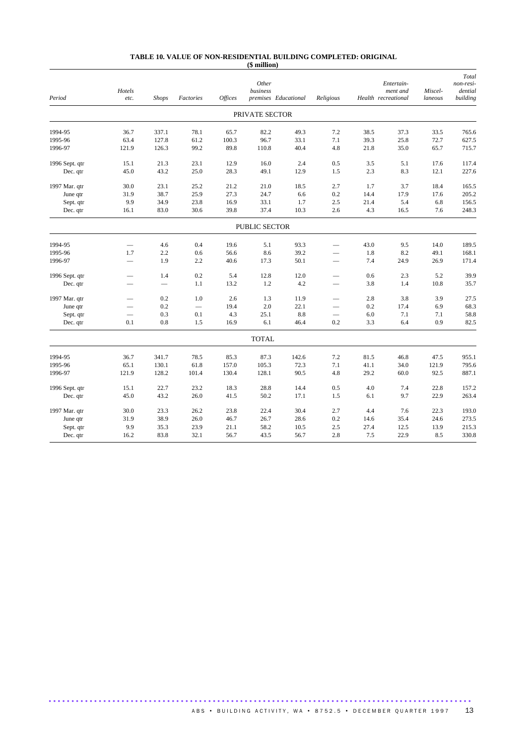| Period         | Hotels<br>etc. | <b>Shops</b> | Factories | <b>Offices</b> | Other<br>business | premises Educational | Religious |      | Entertain-<br>ment and<br>Health recreational | Miscel-<br>laneous | Total<br>non-resi-<br>dential<br>building |
|----------------|----------------|--------------|-----------|----------------|-------------------|----------------------|-----------|------|-----------------------------------------------|--------------------|-------------------------------------------|
|                |                |              |           |                | PRIVATE SECTOR    |                      |           |      |                                               |                    |                                           |
| 1994-95        | 36.7           | 337.1        | 78.1      | 65.7           | 82.2              | 49.3                 | 7.2       | 38.5 | 37.3                                          | 33.5               | 765.6                                     |
| 1995-96        | 63.4           | 127.8        | 61.2      | 100.3          | 96.7              | 33.1                 | 7.1       | 39.3 | 25.8                                          | 72.7               | 627.5                                     |
| 1996-97        | 121.9          | 126.3        | 99.2      | 89.8           | 110.8             | 40.4                 | 4.8       | 21.8 | 35.0                                          | 65.7               | 715.7                                     |
| 1996 Sept. qtr | 15.1           | 21.3         | 23.1      | 12.9           | 16.0              | 2.4                  | 0.5       | 3.5  | 5.1                                           | 17.6               | 117.4                                     |
| Dec. qtr       | 45.0           | 43.2         | 25.0      | 28.3           | 49.1              | 12.9                 | 1.5       | 2.3  | 8.3                                           | 12.1               | 227.6                                     |
| 1997 Mar. qtr  | 30.0           | 23.1         | 25.2      | 21.2           | 21.0              | 18.5                 | 2.7       | 1.7  | 3.7                                           | 18.4               | 165.5                                     |
| June qtr       | 31.9           | 38.7         | 25.9      | 27.3           | 24.7              | 6.6                  | 0.2       | 14.4 | 17.9                                          | 17.6               | 205.2                                     |
| Sept. qtr      | 9.9            | 34.9         | 23.8      | 16.9           | 33.1              | 1.7                  | 2.5       | 21.4 | 5.4                                           | 6.8                | 156.5                                     |
| Dec. qtr       | 16.1           | 83.0         | 30.6      | 39.8           | 37.4              | 10.3                 | 2.6       | 4.3  | 16.5                                          | 7.6                | 248.3                                     |
|                |                |              |           |                | PUBLIC SECTOR     |                      |           |      |                                               |                    |                                           |
| 1994-95        |                | 4.6          | 0.4       | 19.6           | 5.1               | 93.3                 |           | 43.0 | 9.5                                           | 14.0               | 189.5                                     |
| 1995-96        | 1.7            | 2.2          | 0.6       | 56.6           | 8.6               | 39.2                 |           | 1.8  | 8.2                                           | 49.1               | 168.1                                     |
| 1996-97        |                | 1.9          | 2.2       | 40.6           | 17.3              | 50.1                 |           | 7.4  | 24.9                                          | 26.9               | 171.4                                     |
| 1996 Sept. qtr |                | 1.4          | 0.2       | 5.4            | 12.8              | 12.0                 |           | 0.6  | 2.3                                           | 5.2                | 39.9                                      |
| Dec. qtr       |                |              | 1.1       | 13.2           | 1.2               | 4.2                  |           | 3.8  | 1.4                                           | 10.8               | 35.7                                      |
| 1997 Mar. qtr  |                | 0.2          | 1.0       | 2.6            | 1.3               | 11.9                 |           | 2.8  | 3.8                                           | 3.9                | 27.5                                      |
| June qtr       |                | 0.2          |           | 19.4           | 2.0               | 22.1                 |           | 0.2  | 17.4                                          | 6.9                | 68.3                                      |
| Sept. qtr      |                | 0.3          | 0.1       | 4.3            | 25.1              | 8.8                  |           | 6.0  | 7.1                                           | 7.1                | 58.8                                      |
| Dec. qtr       | 0.1            | 0.8          | 1.5       | 16.9           | 6.1               | 46.4                 | 0.2       | 3.3  | 6.4                                           | 0.9                | 82.5                                      |
|                |                |              |           |                | <b>TOTAL</b>      |                      |           |      |                                               |                    |                                           |
| 1994-95        | 36.7           | 341.7        | 78.5      | 85.3           | 87.3              | 142.6                | 7.2       | 81.5 | 46.8                                          | 47.5               | 955.1                                     |
| 1995-96        | 65.1           | 130.1        | 61.8      | 157.0          | 105.3             | 72.3                 | 7.1       | 41.1 | 34.0                                          | 121.9              | 795.6                                     |
| 1996-97        | 121.9          | 128.2        | 101.4     | 130.4          | 128.1             | 90.5                 | 4.8       | 29.2 | 60.0                                          | 92.5               | 887.1                                     |
| 1996 Sept. qtr | 15.1           | 22.7         | 23.2      | 18.3           | 28.8              | 14.4                 | 0.5       | 4.0  | 7.4                                           | 22.8               | 157.2                                     |
| Dec. qtr       | 45.0           | 43.2         | 26.0      | 41.5           | 50.2              | 17.1                 | 1.5       | 6.1  | 9.7                                           | 22.9               | 263.4                                     |
| 1997 Mar. qtr  | 30.0           | 23.3         | 26.2      | 23.8           | 22.4              | 30.4                 | 2.7       | 4.4  | 7.6                                           | 22.3               | 193.0                                     |
| June qtr       | 31.9           | 38.9         | 26.0      | 46.7           | 26.7              | 28.6                 | 0.2       | 14.6 | 35.4                                          | 24.6               | 273.5                                     |
| Sept. qtr      | 9.9            | 35.3         | 23.9      | 21.1           | 58.2              | 10.5                 | 2.5       | 27.4 | 12.5                                          | 13.9               | 215.3                                     |
| Dec. qtr       | 16.2           | 83.8         | 32.1      | 56.7           | 43.5              | 56.7                 | 2.8       | 7.5  | 22.9                                          | 8.5                | 330.8                                     |

#### **TABLE 10. VALUE OF NON-RESIDENTIAL BUILDING COMPLETED: ORIGINAL (\$ million)**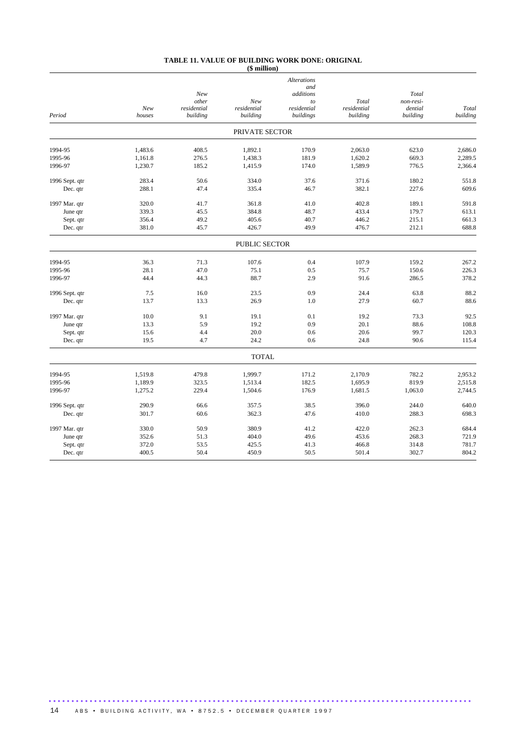#### **TABLE 11. VALUE OF BUILDING WORK DONE: ORIGINAL (\$ million)**

| <b>Alterations</b>                                                |                      |
|-------------------------------------------------------------------|----------------------|
| and                                                               |                      |
| New<br>additions<br>other<br>New<br>Total<br>to                   | Total<br>non-resi-   |
| New<br>residential<br>residential<br>residential<br>residential   | dential<br>Total     |
| houses<br>building<br>building<br>buildings<br>building<br>Period | building<br>building |
| PRIVATE SECTOR                                                    |                      |
| 1994-95<br>1.483.6<br>408.5<br>1.892.1<br>170.9<br>2.063.0        | 623.0<br>2.686.0     |
| 1995-96<br>1,438.3<br>181.9<br>1,620.2<br>1,161.8<br>276.5        | 2,289.5<br>669.3     |
| 1,230.7<br>1,589.9<br>1996-97<br>185.2<br>1,415.9<br>174.0        | 776.5<br>2,366.4     |
| 283.4<br>50.6<br>334.0<br>37.6<br>371.6<br>1996 Sept. qtr         | 180.2<br>551.8       |
| 288.1<br>47.4<br>335.4<br>46.7<br>382.1<br>Dec. qtr               | 609.6<br>227.6       |
| 320.0<br>41.0<br>402.8<br>1997 Mar. qtr<br>41.7<br>361.8          | 189.1<br>591.8       |
| 339.3<br>384.8<br>48.7<br>45.5<br>433.4<br>June qtr               | 179.7<br>613.1       |
| 356.4<br>49.2<br>405.6<br>40.7<br>Sept. qtr<br>446.2              | 215.1<br>661.3       |
| 381.0<br>45.7<br>426.7<br>49.9<br>476.7<br>Dec. qtr               | 688.8<br>212.1       |
| <b>PUBLIC SECTOR</b>                                              |                      |
| 0.4<br>1994-95<br>36.3<br>71.3<br>107.6<br>107.9                  | 159.2<br>267.2       |
| 1995-96<br>28.1<br>47.0<br>75.1<br>0.5<br>75.7                    | 150.6<br>226.3       |
| 88.7<br>1996-97<br>44.4<br>44.3<br>2.9<br>91.6                    | 378.2<br>286.5       |
| 7.5<br>16.0<br>23.5<br>0.9<br>24.4<br>1996 Sept. qtr              | 88.2<br>63.8         |
| 13.7<br>13.3<br>26.9<br>1.0<br>27.9<br>Dec. qtr                   | 88.6<br>60.7         |
| 9.1<br>0.1<br>10.0<br>19.1<br>19.2<br>1997 Mar. qtr               | 92.5<br>73.3         |
| 13.3<br>5.9<br>19.2<br>0.9<br>20.1<br>June qtr                    | 88.6<br>108.8        |
| 4.4<br>20.0<br>20.6<br>Sept. qtr<br>15.6<br>0.6                   | 120.3<br>99.7        |
| 24.2<br>24.8<br>19.5<br>4.7<br>0.6<br>Dec. qtr                    | 90.6<br>115.4        |
| <b>TOTAL</b>                                                      |                      |
| 1994-95<br>1,519.8<br>479.8<br>1,999.7<br>171.2<br>2,170.9        | 782.2<br>2,953.2     |
| 1,189.9<br>323.5<br>182.5<br>1,695.9<br>1995-96<br>1,513.4        | 819.9<br>2,515.8     |
| 1996-97<br>229.4<br>1,504.6<br>176.9<br>1,681.5<br>1,275.2        | 1,063.0<br>2,744.5   |
| 290.9<br>38.5<br>396.0<br>1996 Sept. qtr<br>66.6<br>357.5         | 244.0<br>640.0       |
| 301.7<br>60.6<br>362.3<br>47.6<br>410.0<br>Dec. qtr               | 288.3<br>698.3       |
| 330.0<br>50.9<br>380.9<br>41.2<br>422.0<br>1997 Mar. qtr          | 262.3<br>684.4       |
| 453.6<br>352.6<br>51.3<br>404.0<br>49.6<br>June qtr               | 268.3<br>721.9       |
| 372.0<br>53.5<br>425.5<br>41.3<br>466.8<br>Sept. qtr              | 781.7<br>314.8       |
| 400.5<br>50.4<br>450.9<br>50.5<br>501.4<br>Dec. qtr               | 804.2<br>302.7       |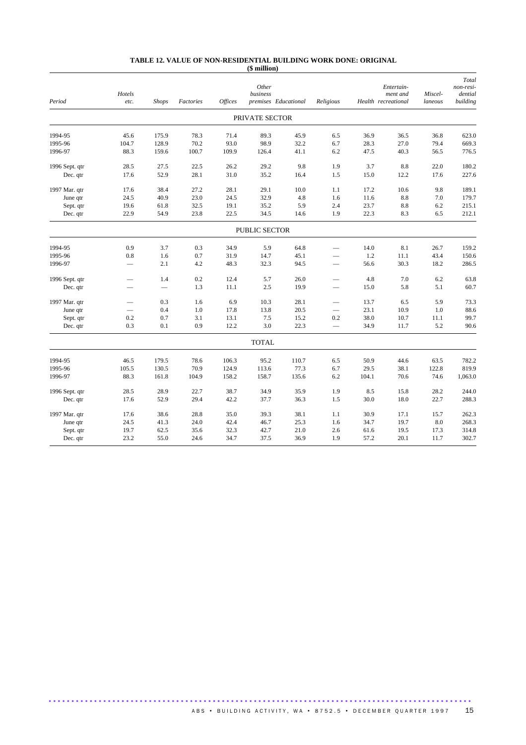#### **TABLE 12. VALUE OF NON-RESIDENTIAL BUILDING WORK DONE: ORIGINAL (\$ million)**

| Period         | Hotels<br>etc. | <b>Shops</b> | Factories | <i><b>Offices</b></i> | Other<br>business | premises Educational | Religious                |       | Entertain-<br>ment and<br>Health recreational | Miscel-<br>laneous | Total<br>non-resi-<br>dential<br>building |
|----------------|----------------|--------------|-----------|-----------------------|-------------------|----------------------|--------------------------|-------|-----------------------------------------------|--------------------|-------------------------------------------|
|                |                |              |           |                       | PRIVATE SECTOR    |                      |                          |       |                                               |                    |                                           |
| 1994-95        | 45.6           | 175.9        | 78.3      | 71.4                  | 89.3              | 45.9                 | 6.5                      | 36.9  | 36.5                                          | 36.8               | 623.0                                     |
| 1995-96        | 104.7          | 128.9        | 70.2      | 93.0                  | 98.9              | 32.2                 | 6.7                      | 28.3  | 27.0                                          | 79.4               | 669.3                                     |
| 1996-97        | 88.3           | 159.6        | 100.7     | 109.9                 | 126.4             | 41.1                 | 6.2                      | 47.5  | 40.3                                          | 56.5               | 776.5                                     |
| 1996 Sept. qtr | 28.5           | 27.5         | 22.5      | 26.2                  | 29.2              | 9.8                  | 1.9                      | 3.7   | 8.8                                           | 22.0               | 180.2                                     |
| Dec. qtr       | 17.6           | 52.9         | 28.1      | 31.0                  | 35.2              | 16.4                 | 1.5                      | 15.0  | 12.2                                          | 17.6               | 227.6                                     |
| 1997 Mar. qtr  | 17.6           | 38.4         | 27.2      | 28.1                  | 29.1              | 10.0                 | 1.1                      | 17.2  | 10.6                                          | 9.8                | 189.1                                     |
| June qtr       | 24.5           | 40.9         | 23.0      | 24.5                  | 32.9              | 4.8                  | 1.6                      | 11.6  | 8.8                                           | 7.0                | 179.7                                     |
| Sept. qtr      | 19.6           | 61.8         | 32.5      | 19.1                  | 35.2              | 5.9                  | 2.4                      | 23.7  | 8.8                                           | 6.2                | 215.1                                     |
| Dec. qtr       | 22.9           | 54.9         | 23.8      | 22.5                  | 34.5              | 14.6                 | 1.9                      | 22.3  | 8.3                                           | 6.5                | 212.1                                     |
|                |                |              |           |                       | PUBLIC SECTOR     |                      |                          |       |                                               |                    |                                           |
| 1994-95        | 0.9            | 3.7          | 0.3       | 34.9                  | 5.9               | 64.8                 |                          | 14.0  | 8.1                                           | 26.7               | 159.2                                     |
| 1995-96        | 0.8            | 1.6          | 0.7       | 31.9                  | 14.7              | 45.1                 |                          | 1.2   | 11.1                                          | 43.4               | 150.6                                     |
| 1996-97        |                | 2.1          | 4.2       | 48.3                  | 32.3              | 94.5                 | $\overline{\phantom{0}}$ | 56.6  | 30.3                                          | 18.2               | 286.5                                     |
| 1996 Sept. qtr |                | 1.4          | 0.2       | 12.4                  | 5.7               | 26.0                 |                          | 4.8   | 7.0                                           | 6.2                | 63.8                                      |
| Dec. qtr       |                |              | 1.3       | 11.1                  | 2.5               | 19.9                 | $\overline{\phantom{0}}$ | 15.0  | 5.8                                           | 5.1                | 60.7                                      |
| 1997 Mar. qtr  |                | 0.3          | 1.6       | 6.9                   | 10.3              | 28.1                 |                          | 13.7  | 6.5                                           | 5.9                | 73.3                                      |
| June qtr       |                | 0.4          | 1.0       | 17.8                  | 13.8              | 20.5                 | $\overline{\phantom{0}}$ | 23.1  | 10.9                                          | 1.0                | 88.6                                      |
| Sept. qtr      | 0.2            | 0.7          | 3.1       | 13.1                  | 7.5               | 15.2                 | 0.2                      | 38.0  | 10.7                                          | 11.1               | 99.7                                      |
| Dec. qtr       | 0.3            | 0.1          | 0.9       | 12.2                  | 3.0               | 22.3                 | $\qquad \qquad$          | 34.9  | 11.7                                          | 5.2                | 90.6                                      |
|                |                |              |           |                       | <b>TOTAL</b>      |                      |                          |       |                                               |                    |                                           |
| 1994-95        | 46.5           | 179.5        | 78.6      | 106.3                 | 95.2              | 110.7                | 6.5                      | 50.9  | 44.6                                          | 63.5               | 782.2                                     |
| 1995-96        | 105.5          | 130.5        | 70.9      | 124.9                 | 113.6             | 77.3                 | 6.7                      | 29.5  | 38.1                                          | 122.8              | 819.9                                     |
| 1996-97        | 88.3           | 161.8        | 104.9     | 158.2                 | 158.7             | 135.6                | 6.2                      | 104.1 | 70.6                                          | 74.6               | 1,063.0                                   |
| 1996 Sept. qtr | 28.5           | 28.9         | 22.7      | 38.7                  | 34.9              | 35.9                 | 1.9                      | 8.5   | 15.8                                          | 28.2               | 244.0                                     |
| Dec. qtr       | 17.6           | 52.9         | 29.4      | 42.2                  | 37.7              | 36.3                 | 1.5                      | 30.0  | 18.0                                          | 22.7               | 288.3                                     |
| 1997 Mar. qtr  | 17.6           | 38.6         | 28.8      | 35.0                  | 39.3              | 38.1                 | 1.1                      | 30.9  | 17.1                                          | 15.7               | 262.3                                     |
| June qtr       | 24.5           | 41.3         | 24.0      | 42.4                  | 46.7              | 25.3                 | 1.6                      | 34.7  | 19.7                                          | 8.0                | 268.3                                     |
| Sept. qtr      | 19.7           | 62.5         | 35.6      | 32.3                  | 42.7              | 21.0                 | 2.6                      | 61.6  | 19.5                                          | 17.3               | 314.8                                     |
| Dec. qtr       | 23.2           | 55.0         | 24.6      | 34.7                  | 37.5              | 36.9                 | 1.9                      | 57.2  | 20.1                                          | 11.7               | 302.7                                     |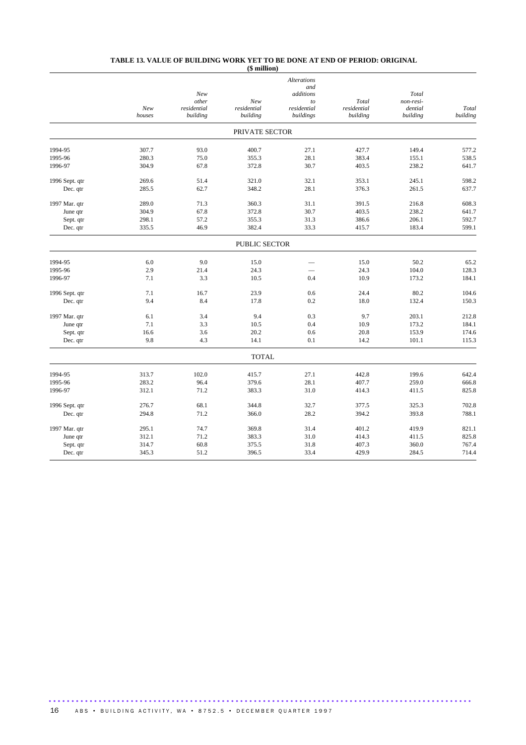#### **TABLE 13. VALUE OF BUILDING WORK YET TO BE DONE AT END OF PERIOD: ORIGINAL (\$ million)**

|                |        |              |                      | <b>Alterations</b> |             |                    |          |
|----------------|--------|--------------|----------------------|--------------------|-------------|--------------------|----------|
|                |        |              |                      | and                |             |                    |          |
|                |        | New<br>other | New                  | additions<br>to    | Total       | Total<br>non-resi- |          |
|                | New    | residential  | residential          | residential        | residential | dential            | Total    |
|                | houses | building     | building             | buildings          | building    | building           | building |
|                |        |              | PRIVATE SECTOR       |                    |             |                    |          |
| 1994-95        | 307.7  | 93.0         | 400.7                | 27.1               | 427.7       | 149.4              | 577.2    |
| 1995-96        | 280.3  | 75.0         | 355.3                | 28.1               | 383.4       | 155.1              | 538.5    |
| 1996-97        | 304.9  | 67.8         | 372.8                | 30.7               | 403.5       | 238.2              | 641.7    |
| 1996 Sept. qtr | 269.6  | 51.4         | 321.0                | 32.1               | 353.1       | 245.1              | 598.2    |
| Dec. qtr       | 285.5  | 62.7         | 348.2                | 28.1               | 376.3       | 261.5              | 637.7    |
| 1997 Mar. qtr  | 289.0  | 71.3         | 360.3                | 31.1               | 391.5       | 216.8              | 608.3    |
| June qtr       | 304.9  | 67.8         | 372.8                | 30.7               | 403.5       | 238.2              | 641.7    |
| Sept. qtr      | 298.1  | 57.2         | 355.3                | 31.3               | 386.6       | 206.1              | 592.7    |
| Dec. qtr       | 335.5  | 46.9         | 382.4                | 33.3               | 415.7       | 183.4              | 599.1    |
|                |        |              | <b>PUBLIC SECTOR</b> |                    |             |                    |          |
| 1994-95        | 6.0    | 9.0          | 15.0                 |                    | 15.0        | 50.2               | 65.2     |
| 1995-96        | 2.9    | 21.4         | 24.3                 |                    | 24.3        | 104.0              | 128.3    |
| 1996-97        | 7.1    | 3.3          | 10.5                 | 0.4                | 10.9        | 173.2              | 184.1    |
| 1996 Sept. qtr | 7.1    | 16.7         | 23.9                 | 0.6                | 24.4        | 80.2               | 104.6    |
| Dec. qtr       | 9.4    | 8.4          | 17.8                 | 0.2                | 18.0        | 132.4              | 150.3    |
| 1997 Mar. qtr  | 6.1    | 3.4          | 9.4                  | 0.3                | 9.7         | 203.1              | 212.8    |
| June qtr       | 7.1    | 3.3          | 10.5                 | 0.4                | 10.9        | 173.2              | 184.1    |
| Sept. qtr      | 16.6   | 3.6          | 20.2                 | 0.6                | 20.8        | 153.9              | 174.6    |
| Dec. qtr       | 9.8    | 4.3          | 14.1                 | 0.1                | 14.2        | 101.1              | 115.3    |
|                |        |              | <b>TOTAL</b>         |                    |             |                    |          |
| 1994-95        | 313.7  | 102.0        | 415.7                | 27.1               | 442.8       | 199.6              | 642.4    |
| 1995-96        | 283.2  | 96.4         | 379.6                | 28.1               | 407.7       | 259.0              | 666.8    |
| 1996-97        | 312.1  | 71.2         | 383.3                | 31.0               | 414.3       | 411.5              | 825.8    |
| 1996 Sept. qtr | 276.7  | 68.1         | 344.8                | 32.7               | 377.5       | 325.3              | 702.8    |
| Dec. qtr       | 294.8  | 71.2         | 366.0                | 28.2               | 394.2       | 393.8              | 788.1    |
| 1997 Mar. qtr  | 295.1  | 74.7         | 369.8                | 31.4               | 401.2       | 419.9              | 821.1    |
| June qtr       | 312.1  | 71.2         | 383.3                | 31.0               | 414.3       | 411.5              | 825.8    |
| Sept. qtr      | 314.7  | 60.8         | 375.5                | 31.8               | 407.3       | 360.0              | 767.4    |
| Dec. qtr       | 345.3  | 51.2         | 396.5                | 33.4               | 429.9       | 284.5              | 714.4    |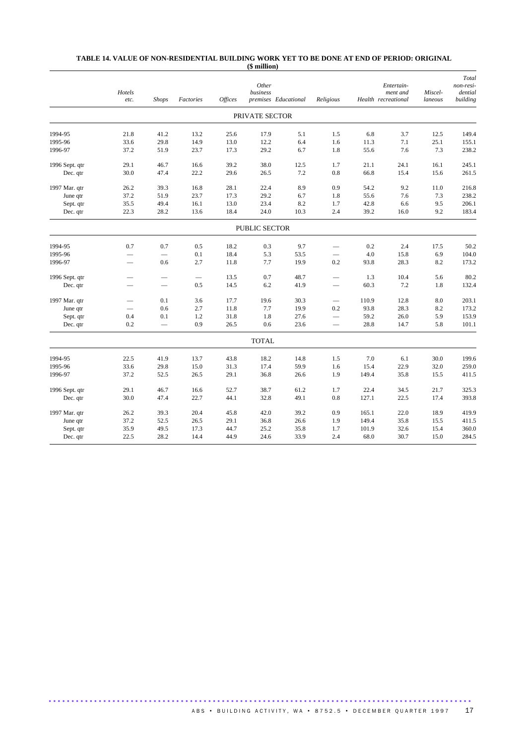#### **TABLE 14. VALUE OF NON-RESIDENTIAL BUILDING WORK YET TO BE DONE AT END OF PERIOD: ORIGINAL (\$ million)**

|                | Hotels<br>etc.           | <b>Shops</b>             | Factories                | <b>Offices</b> | Other<br>business | premises Educational | Religious       |       | Entertain-<br>ment and<br>Health recreational | Miscel-<br>laneous | Total<br>non-resi-<br>dential<br>building |
|----------------|--------------------------|--------------------------|--------------------------|----------------|-------------------|----------------------|-----------------|-------|-----------------------------------------------|--------------------|-------------------------------------------|
|                |                          |                          |                          |                | PRIVATE SECTOR    |                      |                 |       |                                               |                    |                                           |
| 1994-95        |                          |                          |                          | 25.6           |                   |                      |                 | 6.8   |                                               |                    | 149.4                                     |
| 1995-96        | 21.8<br>33.6             | 41.2<br>29.8             | 13.2<br>14.9             | 13.0           | 17.9<br>12.2      | 5.1<br>6.4           | 1.5<br>1.6      | 11.3  | 3.7<br>7.1                                    | 12.5<br>25.1       | 155.1                                     |
| 1996-97        | 37.2                     | 51.9                     | 23.7                     | 17.3           | 29.2              | 6.7                  | 1.8             | 55.6  | 7.6                                           | 7.3                | 238.2                                     |
|                |                          |                          |                          |                |                   |                      |                 |       |                                               |                    |                                           |
| 1996 Sept. qtr | 29.1                     | 46.7                     | 16.6                     | 39.2           | 38.0              | 12.5                 | 1.7             | 21.1  | 24.1                                          | 16.1               | 245.1                                     |
| Dec. qtr       | 30.0                     | 47.4                     | 22.2                     | 29.6           | 26.5              | 7.2                  | 0.8             | 66.8  | 15.4                                          | 15.6               | 261.5                                     |
| 1997 Mar. qtr  | 26.2                     | 39.3                     | 16.8                     | 28.1           | 22.4              | 8.9                  | 0.9             | 54.2  | 9.2                                           | 11.0               | 216.8                                     |
| June qtr       | 37.2                     | 51.9                     | 23.7                     | 17.3           | 29.2              | 6.7                  | 1.8             | 55.6  | 7.6                                           | 7.3                | 238.2                                     |
| Sept. qtr      | 35.5                     | 49.4                     | 16.1                     | 13.0           | 23.4              | 8.2                  | 1.7             | 42.8  | 6.6                                           | 9.5                | 206.1                                     |
| Dec. qtr       | 22.3                     | 28.2                     | 13.6                     | 18.4           | 24.0              | 10.3                 | 2.4             | 39.2  | 16.0                                          | 9.2                | 183.4                                     |
|                |                          |                          |                          |                | PUBLIC SECTOR     |                      |                 |       |                                               |                    |                                           |
| 1994-95        | 0.7                      | 0.7                      | 0.5                      | 18.2           | 0.3               | 9.7                  | ▃               | 0.2   | 2.4                                           | 17.5               | 50.2                                      |
| 1995-96        | $\overline{\phantom{0}}$ |                          | 0.1                      | 18.4           | 5.3               | 53.5                 |                 | 4.0   | 15.8                                          | 6.9                | 104.0                                     |
| 1996-97        |                          | 0.6                      | 2.7                      | 11.8           | 7.7               | 19.9                 | 0.2             | 93.8  | 28.3                                          | 8.2                | 173.2                                     |
|                |                          |                          |                          |                |                   |                      |                 |       |                                               |                    |                                           |
| 1996 Sept. qtr |                          |                          | $\overline{\phantom{0}}$ | 13.5           | 0.7               | 48.7                 | -               | 1.3   | 10.4                                          | 5.6                | 80.2                                      |
| Dec. qtr       | -                        | $\overline{\phantom{0}}$ | 0.5                      | 14.5           | 6.2               | 41.9                 |                 | 60.3  | 7.2                                           | 1.8                | 132.4                                     |
| 1997 Mar. qtr  |                          | 0.1                      | 3.6                      | 17.7           | 19.6              | 30.3                 | $\qquad \qquad$ | 110.9 | 12.8                                          | 8.0                | 203.1                                     |
| June qtr       |                          | 0.6                      | 2.7                      | 11.8           | 7.7               | 19.9                 | 0.2             | 93.8  | 28.3                                          | 8.2                | 173.2                                     |
| Sept. qtr      | 0.4                      | 0.1                      | 1.2                      | 31.8           | 1.8               | 27.6                 |                 | 59.2  | 26.0                                          | 5.9                | 153.9                                     |
| Dec. qtr       | 0.2                      |                          | 0.9                      | 26.5           | 0.6               | 23.6                 | $\qquad \qquad$ | 28.8  | 14.7                                          | 5.8                | 101.1                                     |
|                |                          |                          |                          |                | <b>TOTAL</b>      |                      |                 |       |                                               |                    |                                           |
| 1994-95        | 22.5                     | 41.9                     | 13.7                     | 43.8           | 18.2              | 14.8                 | 1.5             | 7.0   | 6.1                                           | 30.0               | 199.6                                     |
| 1995-96        | 33.6                     | 29.8                     | 15.0                     | 31.3           | 17.4              | 59.9                 | 1.6             | 15.4  | 22.9                                          | 32.0               | 259.0                                     |
| 1996-97        | 37.2                     | 52.5                     | 26.5                     | 29.1           | 36.8              | 26.6                 | 1.9             | 149.4 | 35.8                                          | 15.5               | 411.5                                     |
| 1996 Sept. qtr | 29.1                     | 46.7                     | 16.6                     | 52.7           | 38.7              | 61.2                 | 1.7             | 22.4  | 34.5                                          | 21.7               | 325.3                                     |
|                | 30.0                     | 47.4                     | 22.7                     | 44.1           | 32.8              | 49.1                 |                 | 127.1 | 22.5                                          | 17.4               | 393.8                                     |
| Dec. qtr       |                          |                          |                          |                |                   |                      | 0.8             |       |                                               |                    |                                           |
| 1997 Mar. qtr  | 26.2                     | 39.3                     | 20.4                     | 45.8           | 42.0              | 39.2                 | 0.9             | 165.1 | 22.0                                          | 18.9               | 419.9                                     |
| June qtr       | 37.2                     | 52.5                     | 26.5                     | 29.1           | 36.8              | 26.6                 | 1.9             | 149.4 | 35.8                                          | 15.5               | 411.5                                     |
| Sept. qtr      | 35.9                     | 49.5                     | 17.3                     | 44.7           | 25.2              | 35.8                 | 1.7             | 101.9 | 32.6                                          | 15.4               | 360.0                                     |
| Dec. qtr       | 22.5                     | 28.2                     | 14.4                     | 44.9           | 24.6              | 33.9                 | 2.4             | 68.0  | 30.7                                          | 15.0               | 284.5                                     |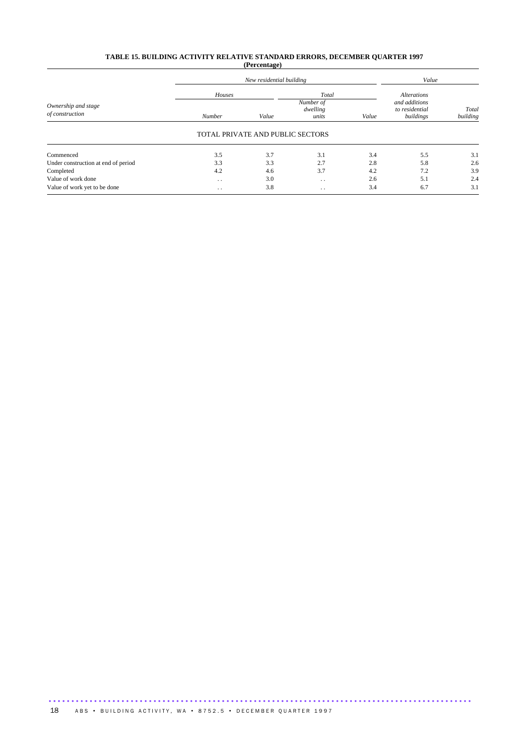## **TABLE 15. BUILDING ACTIVITY RELATIVE STANDARD ERRORS, DECEMBER QUARTER 1997 (Percentage)**

|                                        |                         | New residential building         |                                         |       |                                                                    |                   |  |
|----------------------------------------|-------------------------|----------------------------------|-----------------------------------------|-------|--------------------------------------------------------------------|-------------------|--|
| Ownership and stage<br>of construction | Houses<br><b>Number</b> | Value                            | Total<br>Number of<br>dwelling<br>units | Value | <b>Alterations</b><br>and additions<br>to residential<br>buildings | Total<br>building |  |
|                                        |                         | TOTAL PRIVATE AND PUBLIC SECTORS |                                         |       |                                                                    |                   |  |
| Commenced                              | 3.5                     | 3.7                              | 3.1                                     | 3.4   | 5.5                                                                | 3.1               |  |
| Under construction at end of period    | 3.3                     | 3.3                              | 2.7                                     | 2.8   | 5.8                                                                | 2.6               |  |
| Completed                              | 4.2                     | 4.6                              | 3.7                                     | 4.2   | 7.2                                                                | 3.9               |  |
| Value of work done                     | $\cdot$ .               | 3.0                              | . .                                     | 2.6   | 5.1                                                                | 2.4               |  |
| Value of work yet to be done           | $\ddot{\phantom{0}}$    | 3.8                              | . .                                     | 3.4   | 6.7                                                                | 3.1               |  |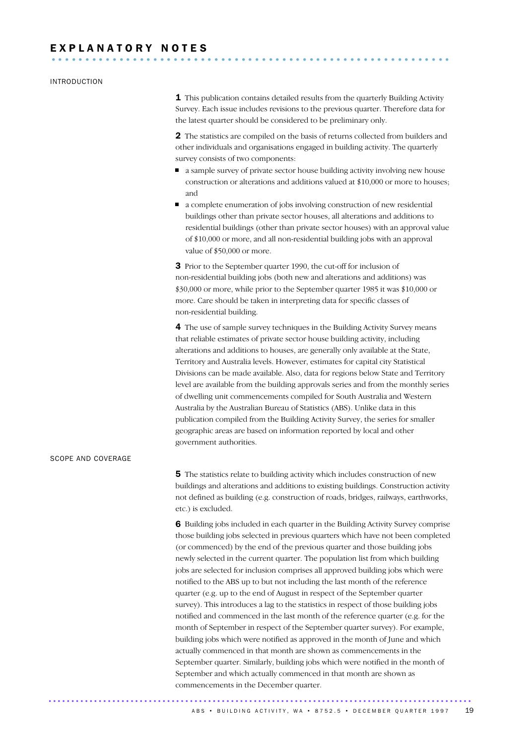## INTRODUCTION

1 This publication contains detailed results from the quarterly Building Activity Survey. Each issue includes revisions to the previous quarter. Therefore data for the latest quarter should be considered to be preliminary only.

**2** The statistics are compiled on the basis of returns collected from builders and other individuals and organisations engaged in building activity. The quarterly survey consists of two components:

- a sample survey of private sector house building activity involving new house construction or alterations and additions valued at \$10,000 or more to houses; and
- a complete enumeration of jobs involving construction of new residential buildings other than private sector houses, all alterations and additions to residential buildings (other than private sector houses) with an approval value of \$10,000 or more, and all non-residential building jobs with an approval value of \$50,000 or more.

**3** Prior to the September quarter 1990, the cut-off for inclusion of non-residential building jobs (both new and alterations and additions) was \$30,000 or more, while prior to the September quarter 1985 it was \$10,000 or more. Care should be taken in interpreting data for specific classes of non-residential building.

4 The use of sample survey techniques in the Building Activity Survey means that reliable estimates of private sector house building activity, including alterations and additions to houses, are generally only available at the State, Territory and Australia levels. However, estimates for capital city Statistical Divisions can be made available. Also, data for regions below State and Territory level are available from the building approvals series and from the monthly series of dwelling unit commencements compiled for South Australia and Western Australia by the Australian Bureau of Statistics (ABS). Unlike data in this publication compiled from the Building Activity Survey, the series for smaller geographic areas are based on information reported by local and other government authorities.

**5** The statistics relate to building activity which includes construction of new buildings and alterations and additions to existing buildings. Construction activity not defined as building (e.g. construction of roads, bridges, railways, earthworks, etc.) is excluded.

6 Building jobs included in each quarter in the Building Activity Survey comprise those building jobs selected in previous quarters which have not been completed (or commenced) by the end of the previous quarter and those building jobs newly selected in the current quarter. The population list from which building jobs are selected for inclusion comprises all approved building jobs which were notified to the ABS up to but not including the last month of the reference quarter (e.g. up to the end of August in respect of the September quarter survey). This introduces a lag to the statistics in respect of those building jobs notified and commenced in the last month of the reference quarter (e.g. for the month of September in respect of the September quarter survey). For example, building jobs which were notified as approved in the month of June and which actually commenced in that month are shown as commencements in the September quarter. Similarly, building jobs which were notified in the month of September and which actually commenced in that month are shown as commencements in the December quarter.

SCOPE AND COVERAGE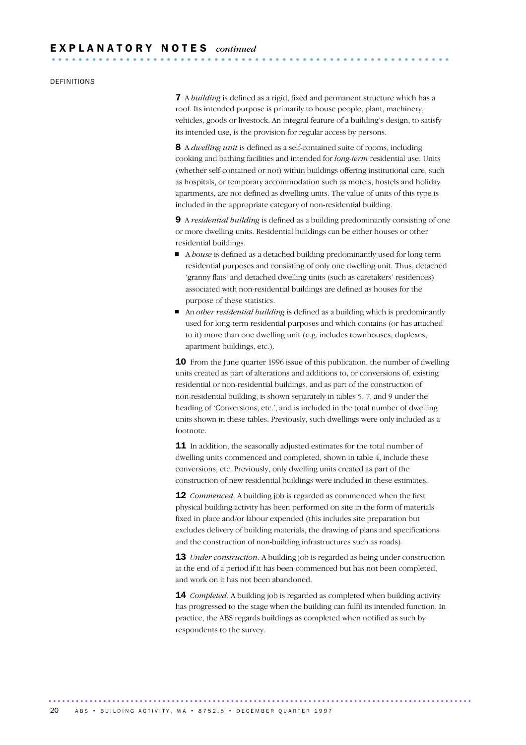## DEFINITIONS

7 A *building* is defined as a rigid, fixed and permanent structure which has a roof. Its intended purpose is primarily to house people, plant, machinery, vehicles, goods or livestock. An integral feature of a building's design, to satisfy its intended use, is the provision for regular access by persons.

8 A *dwelling unit* is defined as a self-contained suite of rooms, including cooking and bathing facilities and intended for *long-term* residential use. Units (whether self-contained or not) within buildings offering institutional care, such as hospitals, or temporary accommodation such as motels, hostels and holiday apartments, are not defined as dwelling units. The value of units of this type is included in the appropriate category of non-residential building.

9 A *residential building* is defined as a building predominantly consisting of one or more dwelling units. Residential buildings can be either houses or other residential buildings.

- A *house* is defined as a detached building predominantly used for long-term residential purposes and consisting of only one dwelling unit. Thus, detached 'granny flats' and detached dwelling units (such as caretakers' residences) associated with non-residential buildings are defined as houses for the purpose of these statistics.
- An *other residential building* is defined as a building which is predominantly used for long-term residential purposes and which contains (or has attached to it) more than one dwelling unit (e.g. includes townhouses, duplexes, apartment buildings, etc.).

10 From the June quarter 1996 issue of this publication, the number of dwelling units created as part of alterations and additions to, or conversions of, existing residential or non-residential buildings, and as part of the construction of non-residential building, is shown separately in tables 5, 7, and 9 under the heading of 'Conversions, etc.', and is included in the total number of dwelling units shown in these tables. Previously, such dwellings were only included as a footnote.

11 In addition, the seasonally adjusted estimates for the total number of dwelling units commenced and completed, shown in table 4, include these conversions, etc. Previously, only dwelling units created as part of the construction of new residential buildings were included in these estimates.

**12** *Commenced*. A building job is regarded as commenced when the first physical building activity has been performed on site in the form of materials fixed in place and/or labour expended (this includes site preparation but excludes delivery of building materials, the drawing of plans and specifications and the construction of non-building infrastructures such as roads).

13 *Under construction*. A building job is regarded as being under construction at the end of a period if it has been commenced but has not been completed, and work on it has not been abandoned.

14 *Completed*. A building job is regarded as completed when building activity has progressed to the stage when the building can fulfil its intended function. In practice, the ABS regards buildings as completed when notified as such by respondents to the survey.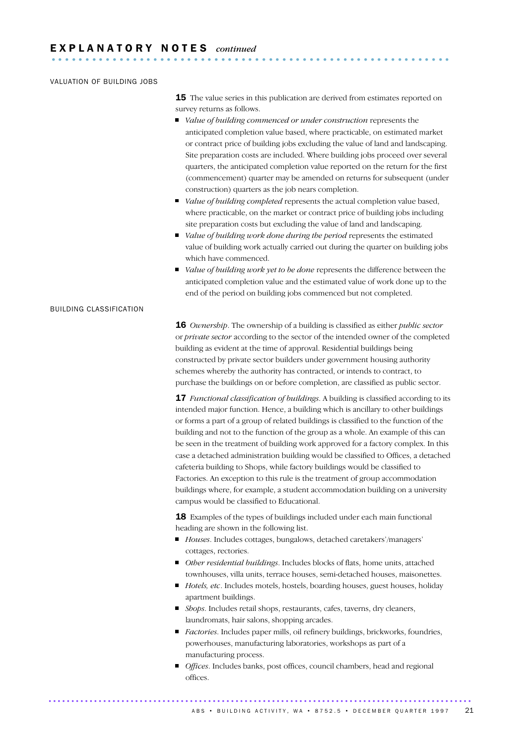## VALUATION OF BUILDING JOBS

**15** The value series in this publication are derived from estimates reported on survey returns as follows.

- *Value of building commenced or under construction* represents the anticipated completion value based, where practicable, on estimated market or contract price of building jobs excluding the value of land and landscaping. Site preparation costs are included. Where building jobs proceed over several quarters, the anticipated completion value reported on the return for the first (commencement) quarter may be amended on returns for subsequent (under construction) quarters as the job nears completion.
- *Value of building completed* represents the actual completion value based, where practicable, on the market or contract price of building jobs including site preparation costs but excluding the value of land and landscaping.
- *Value of building work done during the period* represents the estimated value of building work actually carried out during the quarter on building jobs which have commenced.
- *Value of building work yet to be done* represents the difference between the anticipated completion value and the estimated value of work done up to the end of the period on building jobs commenced but not completed.

## BUILDING CLASSIFICATION

16 *Ownership*. The ownership of a building is classified as either *public sector* or *private sector* according to the sector of the intended owner of the completed building as evident at the time of approval. Residential buildings being constructed by private sector builders under government housing authority schemes whereby the authority has contracted, or intends to contract, to purchase the buildings on or before completion, are classified as public sector.

17 *Functional classification of buildings*. A building is classified according to its intended major function. Hence, a building which is ancillary to other buildings or forms a part of a group of related buildings is classified to the function of the building and not to the function of the group as a whole. An example of this can be seen in the treatment of building work approved for a factory complex. In this case a detached administration building would be classified to Offices, a detached cafeteria building to Shops, while factory buildings would be classified to Factories. An exception to this rule is the treatment of group accommodation buildings where, for example, a student accommodation building on a university campus would be classified to Educational.

18 Examples of the types of buildings included under each main functional heading are shown in the following list.

- *Houses*. Includes cottages, bungalows, detached caretakers'/managers' cottages, rectories.
- *Other residential buildings*. Includes blocks of flats, home units, attached townhouses, villa units, terrace houses, semi-detached houses, maisonettes.
- *Hotels, etc*. Includes motels, hostels, boarding houses, guest houses, holiday apartment buildings.
- *Shops*. Includes retail shops, restaurants, cafes, taverns, dry cleaners, laundromats, hair salons, shopping arcades.
- *Factories*. Includes paper mills, oil refinery buildings, brickworks, foundries, powerhouses, manufacturing laboratories, workshops as part of a manufacturing process.
- *Offices*. Includes banks, post offices, council chambers, head and regional offices.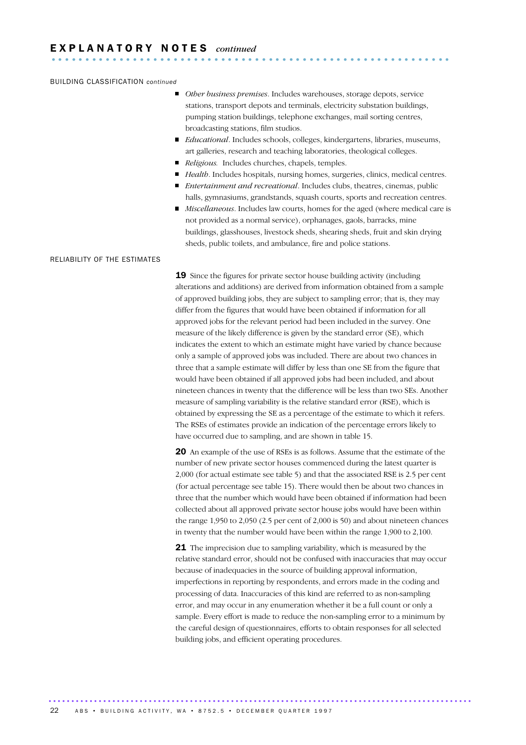#### BUILDING CLASSIFICATION *continued*

- *Other business premises*. Includes warehouses, storage depots, service stations, transport depots and terminals, electricity substation buildings, pumping station buildings, telephone exchanges, mail sorting centres, broadcasting stations, film studios.
- *Educational*. Includes schools, colleges, kindergartens, libraries, museums, art galleries, research and teaching laboratories, theological colleges.
- *Religious.* Includes churches, chapels, temples.
- *Health*. Includes hospitals, nursing homes, surgeries, clinics, medical centres.
- *Entertainment and recreational*. Includes clubs, theatres, cinemas, public halls, gymnasiums, grandstands, squash courts, sports and recreation centres.
- *Miscellaneous*. Includes law courts, homes for the aged (where medical care is not provided as a normal service), orphanages, gaols, barracks, mine buildings, glasshouses, livestock sheds, shearing sheds, fruit and skin drying sheds, public toilets, and ambulance, fire and police stations.

## RELIABILITY OF THE ESTIMATES

19 Since the figures for private sector house building activity (including alterations and additions) are derived from information obtained from a sample of approved building jobs, they are subject to sampling error; that is, they may differ from the figures that would have been obtained if information for all approved jobs for the relevant period had been included in the survey. One measure of the likely difference is given by the standard error (SE), which indicates the extent to which an estimate might have varied by chance because only a sample of approved jobs was included. There are about two chances in three that a sample estimate will differ by less than one SE from the figure that would have been obtained if all approved jobs had been included, and about nineteen chances in twenty that the difference will be less than two SEs. Another measure of sampling variability is the relative standard error (RSE), which is obtained by expressing the SE as a percentage of the estimate to which it refers. The RSEs of estimates provide an indication of the percentage errors likely to have occurred due to sampling, and are shown in table 15.

20 An example of the use of RSEs is as follows. Assume that the estimate of the number of new private sector houses commenced during the latest quarter is 2,000 (for actual estimate see table 5) and that the associated RSE is 2.5 per cent (for actual percentage see table 15). There would then be about two chances in three that the number which would have been obtained if information had been collected about all approved private sector house jobs would have been within the range 1,950 to 2,050 (2.5 per cent of 2,000 is 50) and about nineteen chances in twenty that the number would have been within the range 1,900 to 2,100.

**21** The imprecision due to sampling variability, which is measured by the relative standard error, should not be confused with inaccuracies that may occur because of inadequacies in the source of building approval information, imperfections in reporting by respondents, and errors made in the coding and processing of data. Inaccuracies of this kind are referred to as non-sampling error, and may occur in any enumeration whether it be a full count or only a sample. Every effort is made to reduce the non-sampling error to a minimum by the careful design of questionnaires, efforts to obtain responses for all selected building jobs, and efficient operating procedures.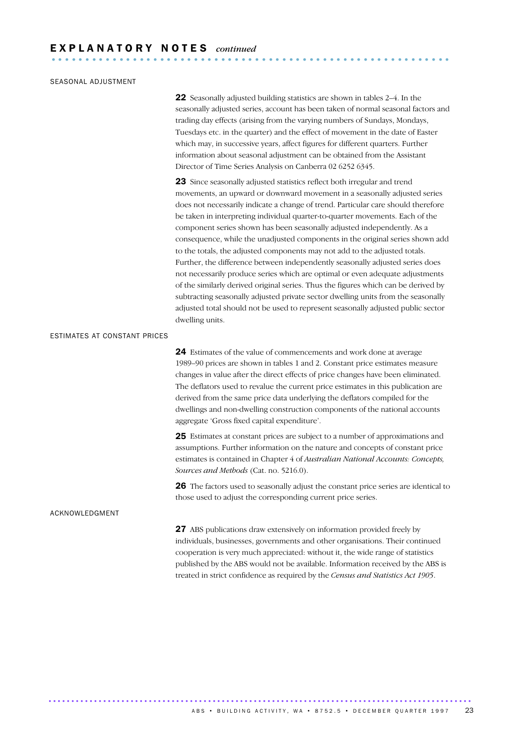## SEASONAL ADJUSTMENT

22 Seasonally adjusted building statistics are shown in tables 2–4. In the seasonally adjusted series, account has been taken of normal seasonal factors and trading day effects (arising from the varying numbers of Sundays, Mondays, Tuesdays etc. in the quarter) and the effect of movement in the date of Easter which may, in successive years, affect figures for different quarters. Further information about seasonal adjustment can be obtained from the Assistant Director of Time Series Analysis on Canberra 02 6252 6345.

23 Since seasonally adjusted statistics reflect both irregular and trend movements, an upward or downward movement in a seasonally adjusted series does not necessarily indicate a change of trend. Particular care should therefore be taken in interpreting individual quarter-to-quarter movements. Each of the component series shown has been seasonally adjusted independently. As a consequence, while the unadjusted components in the original series shown add to the totals, the adjusted components may not add to the adjusted totals. Further, the difference between independently seasonally adjusted series does not necessarily produce series which are optimal or even adequate adjustments of the similarly derived original series. Thus the figures which can be derived by subtracting seasonally adjusted private sector dwelling units from the seasonally adjusted total should not be used to represent seasonally adjusted public sector dwelling units.

#### ESTIMATES AT CONSTANT PRICES

24 Estimates of the value of commencements and work done at average 1989–90 prices are shown in tables 1 and 2. Constant price estimates measure changes in value after the direct effects of price changes have been eliminated. The deflators used to revalue the current price estimates in this publication are derived from the same price data underlying the deflators compiled for the dwellings and non-dwelling construction components of the national accounts aggregate 'Gross fixed capital expenditure'.

25 Estimates at constant prices are subject to a number of approximations and assumptions. Further information on the nature and concepts of constant price estimates is contained in Chapter 4 of *Australian National Accounts: Concepts, Sources and Methods* (Cat. no. 5216.0).

26 The factors used to seasonally adjust the constant price series are identical to those used to adjust the corresponding current price series.

#### ACKNOWLEDGMENT

27 ABS publications draw extensively on information provided freely by individuals, businesses, governments and other organisations. Their continued cooperation is very much appreciated: without it, the wide range of statistics published by the ABS would not be available. Information received by the ABS is treated in strict confidence as required by the *Census and Statistics Act 1905*.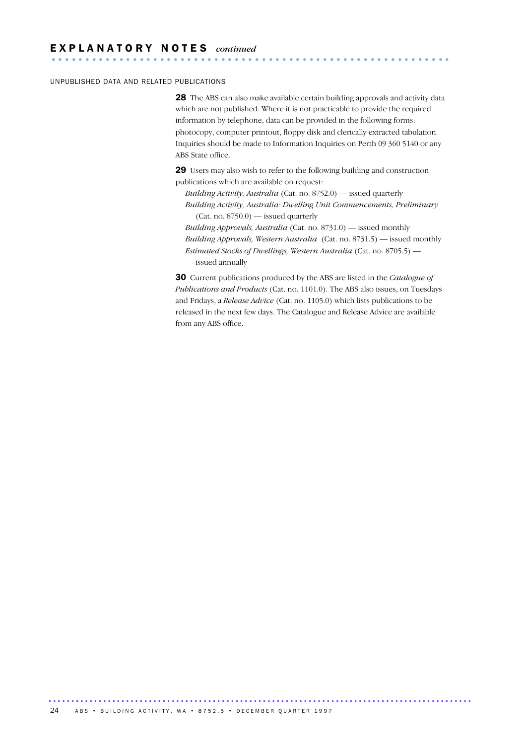## UNPUBLISHED DATA AND RELATED PUBLICATIONS

28 The ABS can also make available certain building approvals and activity data which are not published. Where it is not practicable to provide the required information by telephone, data can be provided in the following forms: photocopy, computer printout, floppy disk and clerically extracted tabulation. Inquiries should be made to Information Inquiries on Perth 09 360 5140 or any ABS State office.

29 Users may also wish to refer to the following building and construction publications which are available on request:

- *Building Activity, Australia* (Cat. no. 8752.0) issued quarterly *Building Activity, Australia: Dwelling Unit Commencements, Preliminary* (Cat. no. 8750.0) — issued quarterly
- *Building Approvals, Australia* (Cat. no. 8731.0) issued monthly *Building Approvals, Western Australia* (Cat. no. 8731.5) — issued monthly *Estimated Stocks of Dwellings, Western Australia* (Cat. no. 8705.5) issued annually

30 Current publications produced by the ABS are listed in the *Catalogue of Publications and Products* (Cat. no. 1101.0). The ABS also issues, on Tuesdays and Fridays, a *Release Advice* (Cat. no. 1105.0) which lists publications to be released in the next few days. The Catalogue and Release Advice are available from any ABS office.